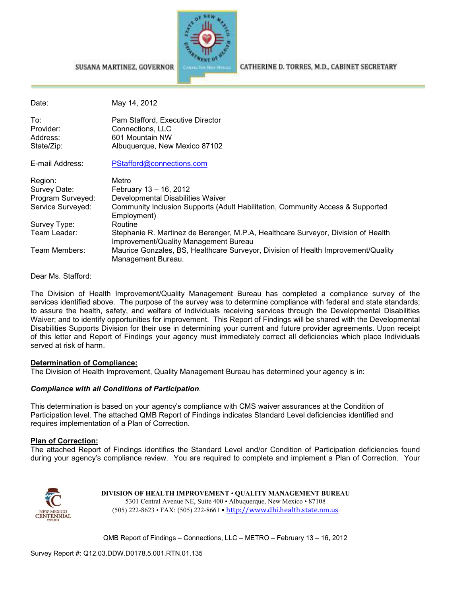

#### SUSANA MARTINEZ, GOVERNOR

Date: May 14, 2012 To: Pam Stafford, Executive Director<br>Provider: Connections LLC Connections, LLC Address: 601 Mountain NW State/Zip: Malbuquerque, New Mexico 87102 E-mail Address: PStafford@connections.com Region: Metro Survey Date: February 13 – 16, 2012 Program Surveyed: Developmental Disabilities Waiver Service Surveyed: Community Inclusion Supports (Adult Habilitation, Community Access & Supported Employment) Survey Type: Routine<br>Team Leader: Stephan Stephanie R. Martinez de Berenger, M.P.A, Healthcare Surveyor, Division of Health Improvement/Quality Management Bureau Team Members: Maurice Gonzales, BS, Healthcare Surveyor, Division of Health Improvement/Quality Management Bureau.

Dear Ms. Stafford:

The Division of Health Improvement/Quality Management Bureau has completed a compliance survey of the services identified above. The purpose of the survey was to determine compliance with federal and state standards; to assure the health, safety, and welfare of individuals receiving services through the Developmental Disabilities Waiver; and to identify opportunities for improvement. This Report of Findings will be shared with the Developmental Disabilities Supports Division for their use in determining your current and future provider agreements. Upon receipt of this letter and Report of Findings your agency must immediately correct all deficiencies which place Individuals served at risk of harm.

## **Determination of Compliance:**

The Division of Health Improvement, Quality Management Bureau has determined your agency is in:

## *Compliance with all Conditions of Participation*.

This determination is based on your agency's compliance with CMS waiver assurances at the Condition of Participation level. The attached QMB Report of Findings indicates Standard Level deficiencies identified and requires implementation of a Plan of Correction.

#### **Plan of Correction:**

The attached Report of Findings identifies the Standard Level and/or Condition of Participation deficiencies found during your agency's compliance review. You are required to complete and implement a Plan of Correction. Your



**DIVISION OF HEALTH IMPROVEMENT** • **QUALITY MANAGEMENT BUREAU** 5301 Central Avenue NE, Suite 400 • Albuquerque, New Mexico • 87108 (505) 222-8623 • FAX: (505) 222-8661 • http://www.dhi.health.state.nm.us

QMB Report of Findings – Connections, LLC – METRO – February 13 – 16, 2012

CATHERINE D. TORRES, M.D., CABINET SECRETARY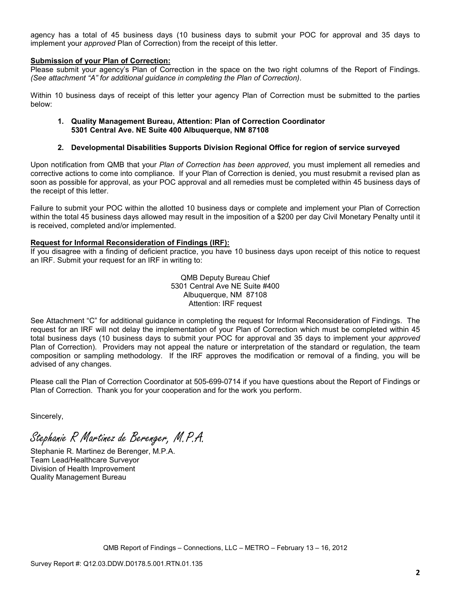agency has a total of 45 business days (10 business days to submit your POC for approval and 35 days to implement your *approved* Plan of Correction) from the receipt of this letter.

## **Submission of your Plan of Correction:**

Please submit your agency's Plan of Correction in the space on the two right columns of the Report of Findings. *(See attachment "A" for additional guidance in completing the Plan of Correction)*.

Within 10 business days of receipt of this letter your agency Plan of Correction must be submitted to the parties below:

### **1. Quality Management Bureau, Attention: Plan of Correction Coordinator 5301 Central Ave. NE Suite 400 Albuquerque, NM 87108**

## **2. Developmental Disabilities Supports Division Regional Office for region of service surveyed**

Upon notification from QMB that your *Plan of Correction has been approved*, you must implement all remedies and corrective actions to come into compliance. If your Plan of Correction is denied, you must resubmit a revised plan as soon as possible for approval, as your POC approval and all remedies must be completed within 45 business days of the receipt of this letter.

Failure to submit your POC within the allotted 10 business days or complete and implement your Plan of Correction within the total 45 business days allowed may result in the imposition of a \$200 per day Civil Monetary Penalty until it is received, completed and/or implemented.

## **Request for Informal Reconsideration of Findings (IRF):**

If you disagree with a finding of deficient practice, you have 10 business days upon receipt of this notice to request an IRF. Submit your request for an IRF in writing to:

> QMB Deputy Bureau Chief 5301 Central Ave NE Suite #400 Albuquerque, NM 87108 Attention: IRF request

See Attachment "C" for additional guidance in completing the request for Informal Reconsideration of Findings. The request for an IRF will not delay the implementation of your Plan of Correction which must be completed within 45 total business days (10 business days to submit your POC for approval and 35 days to implement your *approved* Plan of Correction). Providers may not appeal the nature or interpretation of the standard or regulation, the team composition or sampling methodology. If the IRF approves the modification or removal of a finding, you will be advised of any changes.

Please call the Plan of Correction Coordinator at 505-699-0714 if you have questions about the Report of Findings or Plan of Correction. Thank you for your cooperation and for the work you perform.

Sincerely,

Stephanie R Martinez de Berenger, M.P.A.

Stephanie R. Martinez de Berenger, M.P.A. Team Lead/Healthcare Surveyor Division of Health Improvement Quality Management Bureau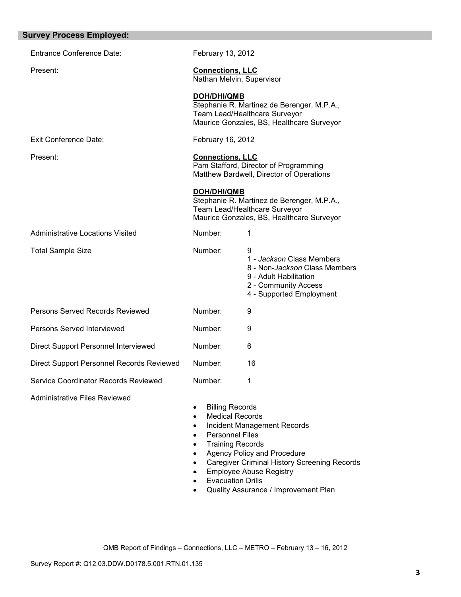| <b>Survey Process Employed:</b>           |                                                                                                                                           |                                                                                                                                                     |
|-------------------------------------------|-------------------------------------------------------------------------------------------------------------------------------------------|-----------------------------------------------------------------------------------------------------------------------------------------------------|
| <b>Entrance Conference Date:</b>          | February 13, 2012                                                                                                                         |                                                                                                                                                     |
| Present:                                  | <b>Connections, LLC</b><br>Nathan Melvin, Supervisor                                                                                      |                                                                                                                                                     |
|                                           | <b>DOH/DHI/QMB</b>                                                                                                                        | Stephanie R. Martinez de Berenger, M.P.A.,<br>Team Lead/Healthcare Surveyor<br>Maurice Gonzales, BS, Healthcare Surveyor                            |
| <b>Exit Conference Date:</b>              | February 16, 2012                                                                                                                         |                                                                                                                                                     |
| Present:                                  | <b>Connections, LLC</b>                                                                                                                   | Pam Stafford, Director of Programming<br>Matthew Bardwell, Director of Operations                                                                   |
|                                           | <b>DOH/DHI/QMB</b>                                                                                                                        | Stephanie R. Martinez de Berenger, M.P.A.,<br>Team Lead/Healthcare Surveyor<br>Maurice Gonzales, BS, Healthcare Surveyor                            |
| <b>Administrative Locations Visited</b>   | Number:                                                                                                                                   | 1                                                                                                                                                   |
| <b>Total Sample Size</b>                  | Number:                                                                                                                                   | 9<br>1 - Jackson Class Members<br>8 - Non-Jackson Class Members<br>9 - Adult Habilitation<br>2 - Community Access<br>4 - Supported Employment       |
| Persons Served Records Reviewed           | Number:                                                                                                                                   | 9                                                                                                                                                   |
| Persons Served Interviewed                | Number:                                                                                                                                   | 9                                                                                                                                                   |
| Direct Support Personnel Interviewed      | Number:                                                                                                                                   | 6                                                                                                                                                   |
| Direct Support Personnel Records Reviewed | Number:                                                                                                                                   | 16                                                                                                                                                  |
| Service Coordinator Records Reviewed      | Number:                                                                                                                                   | 1                                                                                                                                                   |
| <b>Administrative Files Reviewed</b>      | <b>Billing Records</b><br><b>Medical Records</b><br>٠<br><b>Personnel Files</b><br>$\bullet$<br><b>Training Records</b><br>$\bullet$<br>٠ | Incident Management Records<br>Agency Policy and Procedure<br><b>Caregiver Criminal History Screening Records</b><br><b>Employee Abuse Registry</b> |

- Evacuation Drills
- Quality Assurance / Improvement Plan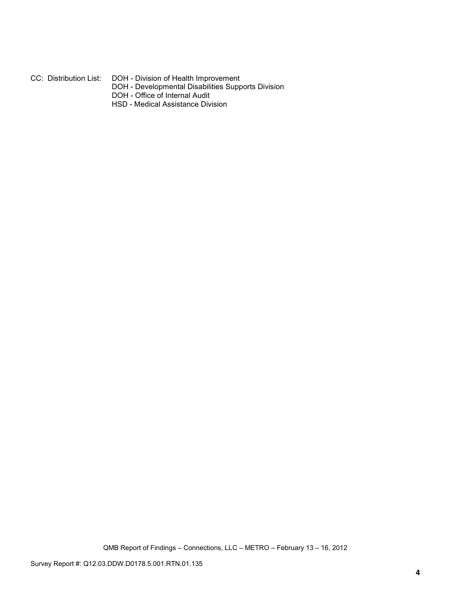## CC: Distribution List: DOH - Division of Health Improvement

- DOH Developmental Disabilities Supports Division
- DOH Office of Internal Audit
- HSD Medical Assistance Division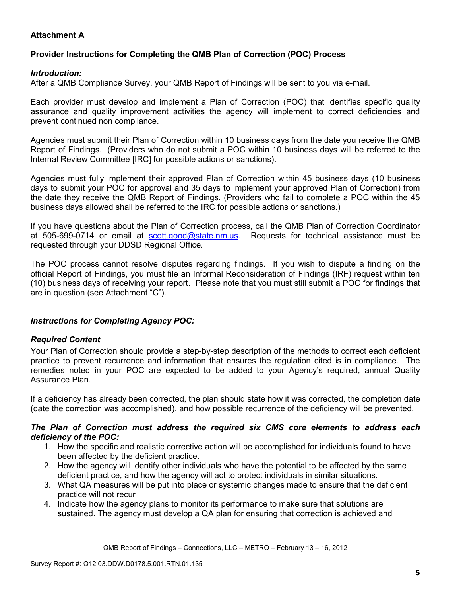# **Attachment A**

# **Provider Instructions for Completing the QMB Plan of Correction (POC) Process**

## *Introduction:*

After a QMB Compliance Survey, your QMB Report of Findings will be sent to you via e-mail.

Each provider must develop and implement a Plan of Correction (POC) that identifies specific quality assurance and quality improvement activities the agency will implement to correct deficiencies and prevent continued non compliance.

Agencies must submit their Plan of Correction within 10 business days from the date you receive the QMB Report of Findings. (Providers who do not submit a POC within 10 business days will be referred to the Internal Review Committee [IRC] for possible actions or sanctions).

Agencies must fully implement their approved Plan of Correction within 45 business days (10 business days to submit your POC for approval and 35 days to implement your approved Plan of Correction) from the date they receive the QMB Report of Findings. (Providers who fail to complete a POC within the 45 business days allowed shall be referred to the IRC for possible actions or sanctions.)

If you have questions about the Plan of Correction process, call the QMB Plan of Correction Coordinator at 505-699-0714 or email at scott.good@state.nm.us. Requests for technical assistance must be requested through your DDSD Regional Office.

The POC process cannot resolve disputes regarding findings. If you wish to dispute a finding on the official Report of Findings, you must file an Informal Reconsideration of Findings (IRF) request within ten (10) business days of receiving your report. Please note that you must still submit a POC for findings that are in question (see Attachment "C").

## *Instructions for Completing Agency POC:*

## *Required Content*

Your Plan of Correction should provide a step-by-step description of the methods to correct each deficient practice to prevent recurrence and information that ensures the regulation cited is in compliance. The remedies noted in your POC are expected to be added to your Agency's required, annual Quality Assurance Plan.

If a deficiency has already been corrected, the plan should state how it was corrected, the completion date (date the correction was accomplished), and how possible recurrence of the deficiency will be prevented.

## *The Plan of Correction must address the required six CMS core elements to address each deficiency of the POC:*

- 1. How the specific and realistic corrective action will be accomplished for individuals found to have been affected by the deficient practice.
- 2. How the agency will identify other individuals who have the potential to be affected by the same deficient practice, and how the agency will act to protect individuals in similar situations.
- 3. What QA measures will be put into place or systemic changes made to ensure that the deficient practice will not recur
- 4. Indicate how the agency plans to monitor its performance to make sure that solutions are sustained. The agency must develop a QA plan for ensuring that correction is achieved and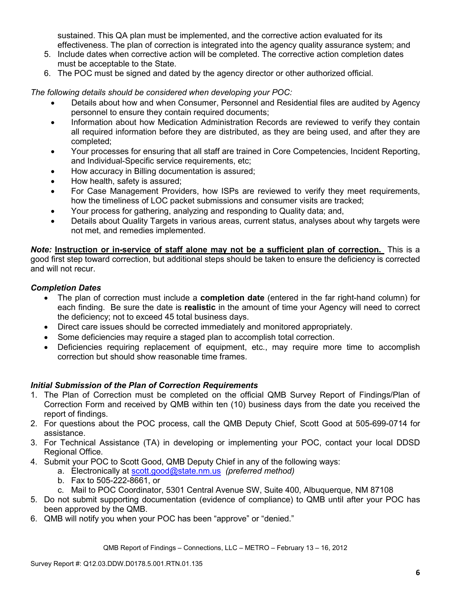sustained. This QA plan must be implemented, and the corrective action evaluated for its effectiveness. The plan of correction is integrated into the agency quality assurance system; and

- 5. Include dates when corrective action will be completed. The corrective action completion dates must be acceptable to the State.
- 6. The POC must be signed and dated by the agency director or other authorized official.

*The following details should be considered when developing your POC:* 

- Details about how and when Consumer, Personnel and Residential files are audited by Agency personnel to ensure they contain required documents;
- Information about how Medication Administration Records are reviewed to verify they contain all required information before they are distributed, as they are being used, and after they are completed;
- Your processes for ensuring that all staff are trained in Core Competencies, Incident Reporting, and Individual-Specific service requirements, etc;
- How accuracy in Billing documentation is assured;
- How health, safety is assured;
- For Case Management Providers, how ISPs are reviewed to verify they meet requirements, how the timeliness of LOC packet submissions and consumer visits are tracked;
- Your process for gathering, analyzing and responding to Quality data; and,
- Details about Quality Targets in various areas, current status, analyses about why targets were not met, and remedies implemented.

*Note:* **Instruction or in-service of staff alone may not be a sufficient plan of correction.** This is a good first step toward correction, but additional steps should be taken to ensure the deficiency is corrected and will not recur.

## *Completion Dates*

- The plan of correction must include a **completion date** (entered in the far right-hand column) for each finding. Be sure the date is **realistic** in the amount of time your Agency will need to correct the deficiency; not to exceed 45 total business days.
- Direct care issues should be corrected immediately and monitored appropriately.
- Some deficiencies may require a staged plan to accomplish total correction.
- Deficiencies requiring replacement of equipment, etc., may require more time to accomplish correction but should show reasonable time frames.

## *Initial Submission of the Plan of Correction Requirements*

- 1. The Plan of Correction must be completed on the official QMB Survey Report of Findings/Plan of Correction Form and received by QMB within ten (10) business days from the date you received the report of findings.
- 2. For questions about the POC process, call the QMB Deputy Chief, Scott Good at 505-699-0714 for assistance.
- 3. For Technical Assistance (TA) in developing or implementing your POC, contact your local DDSD Regional Office.
- 4. Submit your POC to Scott Good, QMB Deputy Chief in any of the following ways:
	- a. Electronically at scott.good@state.nm.us *(preferred method)*
	- b. Fax to 505-222-8661, or
	- c. Mail to POC Coordinator, 5301 Central Avenue SW, Suite 400, Albuquerque, NM 87108
- 5. Do not submit supporting documentation (evidence of compliance) to QMB until after your POC has been approved by the QMB.
- 6. QMB will notify you when your POC has been "approve" or "denied."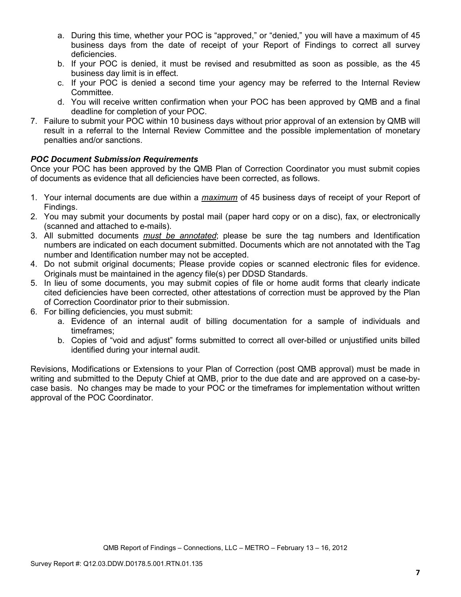- a. During this time, whether your POC is "approved," or "denied," you will have a maximum of 45 business days from the date of receipt of your Report of Findings to correct all survey deficiencies.
- b. If your POC is denied, it must be revised and resubmitted as soon as possible, as the 45 business day limit is in effect.
- c. If your POC is denied a second time your agency may be referred to the Internal Review Committee.
- d. You will receive written confirmation when your POC has been approved by QMB and a final deadline for completion of your POC.
- 7. Failure to submit your POC within 10 business days without prior approval of an extension by QMB will result in a referral to the Internal Review Committee and the possible implementation of monetary penalties and/or sanctions.

# *POC Document Submission Requirements*

Once your POC has been approved by the QMB Plan of Correction Coordinator you must submit copies of documents as evidence that all deficiencies have been corrected, as follows.

- 1. Your internal documents are due within a *maximum* of 45 business days of receipt of your Report of Findings.
- 2. You may submit your documents by postal mail (paper hard copy or on a disc), fax, or electronically (scanned and attached to e-mails).
- 3. All submitted documents *must be annotated*; please be sure the tag numbers and Identification numbers are indicated on each document submitted. Documents which are not annotated with the Tag number and Identification number may not be accepted.
- 4. Do not submit original documents; Please provide copies or scanned electronic files for evidence. Originals must be maintained in the agency file(s) per DDSD Standards.
- 5. In lieu of some documents, you may submit copies of file or home audit forms that clearly indicate cited deficiencies have been corrected, other attestations of correction must be approved by the Plan of Correction Coordinator prior to their submission.
- 6. For billing deficiencies, you must submit:
	- a. Evidence of an internal audit of billing documentation for a sample of individuals and timeframes;
	- b. Copies of "void and adjust" forms submitted to correct all over-billed or unjustified units billed identified during your internal audit.

Revisions, Modifications or Extensions to your Plan of Correction (post QMB approval) must be made in writing and submitted to the Deputy Chief at QMB, prior to the due date and are approved on a case-bycase basis. No changes may be made to your POC or the timeframes for implementation without written approval of the POC Coordinator.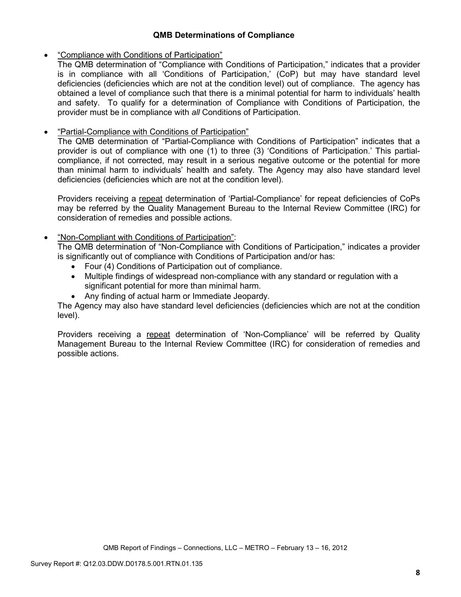## **QMB Determinations of Compliance**

## • "Compliance with Conditions of Participation"

The QMB determination of "Compliance with Conditions of Participation," indicates that a provider is in compliance with all 'Conditions of Participation,' (CoP) but may have standard level deficiencies (deficiencies which are not at the condition level) out of compliance. The agency has obtained a level of compliance such that there is a minimal potential for harm to individuals' health and safety. To qualify for a determination of Compliance with Conditions of Participation, the provider must be in compliance with *all* Conditions of Participation.

# • "Partial-Compliance with Conditions of Participation"

The QMB determination of "Partial-Compliance with Conditions of Participation" indicates that a provider is out of compliance with one (1) to three (3) 'Conditions of Participation.' This partialcompliance, if not corrected, may result in a serious negative outcome or the potential for more than minimal harm to individuals' health and safety. The Agency may also have standard level deficiencies (deficiencies which are not at the condition level).

Providers receiving a repeat determination of 'Partial-Compliance' for repeat deficiencies of CoPs may be referred by the Quality Management Bureau to the Internal Review Committee (IRC) for consideration of remedies and possible actions.

# • "Non-Compliant with Conditions of Participation":

The QMB determination of "Non-Compliance with Conditions of Participation," indicates a provider is significantly out of compliance with Conditions of Participation and/or has:

- Four (4) Conditions of Participation out of compliance.
- Multiple findings of widespread non-compliance with any standard or regulation with a significant potential for more than minimal harm.
- Any finding of actual harm or Immediate Jeopardy.

The Agency may also have standard level deficiencies (deficiencies which are not at the condition level).

Providers receiving a repeat determination of 'Non-Compliance' will be referred by Quality Management Bureau to the Internal Review Committee (IRC) for consideration of remedies and possible actions.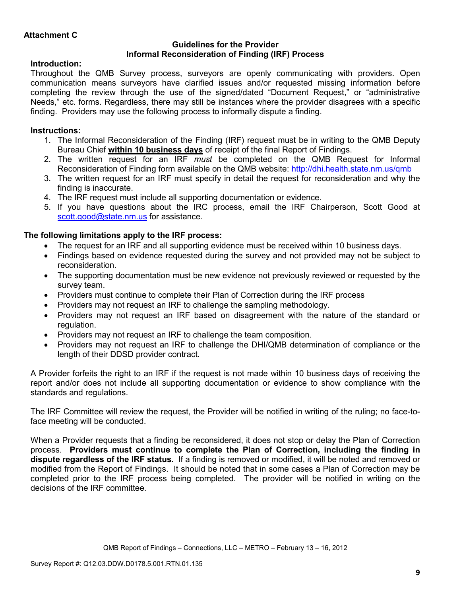## **Guidelines for the Provider Informal Reconsideration of Finding (IRF) Process**

# **Introduction:**

Throughout the QMB Survey process, surveyors are openly communicating with providers. Open communication means surveyors have clarified issues and/or requested missing information before completing the review through the use of the signed/dated "Document Request," or "administrative Needs," etc. forms. Regardless, there may still be instances where the provider disagrees with a specific finding. Providers may use the following process to informally dispute a finding.

# **Instructions:**

- 1. The Informal Reconsideration of the Finding (IRF) request must be in writing to the QMB Deputy Bureau Chief **within 10 business days** of receipt of the final Report of Findings.
- 2. The written request for an IRF *must* be completed on the QMB Request for Informal Reconsideration of Finding form available on the QMB website: http://dhi.health.state.nm.us/qmb
- 3. The written request for an IRF must specify in detail the request for reconsideration and why the finding is inaccurate.
- 4. The IRF request must include all supporting documentation or evidence.
- 5. If you have questions about the IRC process, email the IRF Chairperson, Scott Good at scott.good@state.nm.us for assistance.

# **The following limitations apply to the IRF process:**

- The request for an IRF and all supporting evidence must be received within 10 business days.
- Findings based on evidence requested during the survey and not provided may not be subject to reconsideration.
- The supporting documentation must be new evidence not previously reviewed or requested by the survey team.
- Providers must continue to complete their Plan of Correction during the IRF process
- Providers may not request an IRF to challenge the sampling methodology.
- Providers may not request an IRF based on disagreement with the nature of the standard or regulation.
- Providers may not request an IRF to challenge the team composition.
- Providers may not request an IRF to challenge the DHI/QMB determination of compliance or the length of their DDSD provider contract.

A Provider forfeits the right to an IRF if the request is not made within 10 business days of receiving the report and/or does not include all supporting documentation or evidence to show compliance with the standards and regulations.

The IRF Committee will review the request, the Provider will be notified in writing of the ruling; no face-toface meeting will be conducted.

When a Provider requests that a finding be reconsidered, it does not stop or delay the Plan of Correction process. **Providers must continue to complete the Plan of Correction, including the finding in dispute regardless of the IRF status.** If a finding is removed or modified, it will be noted and removed or modified from the Report of Findings. It should be noted that in some cases a Plan of Correction may be completed prior to the IRF process being completed. The provider will be notified in writing on the decisions of the IRF committee.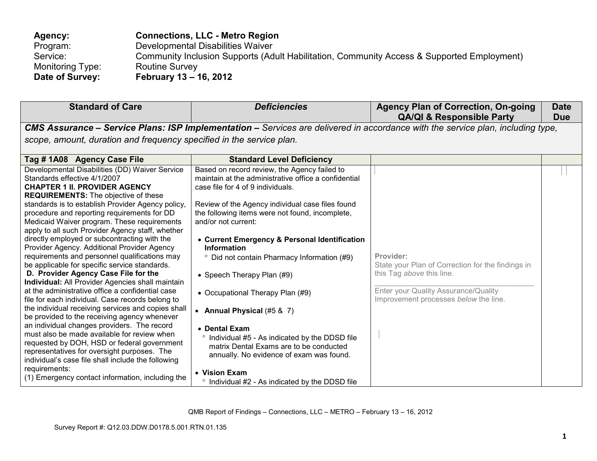| <b>Agency:</b>   | <b>Connections, LLC - Metro Region</b>                                                     |
|------------------|--------------------------------------------------------------------------------------------|
| Program:         | Developmental Disabilities Waiver                                                          |
| Service:         | Community Inclusion Supports (Adult Habilitation, Community Access & Supported Employment) |
| Monitoring Type: | <b>Routine Survey</b>                                                                      |
| Date of Survey:  | February 13 – 16, 2012                                                                     |

| <b>Standard of Care</b>                                                                                                                                                                                                                                                                                                                                                                                                                                                                                                                                                                                                                                                                                                                                                                                                                                                                                                                                                                                                                                                                                                                                                                                               | <b>Deficiencies</b>                                                                                                                                                                                                                                                                                                                                                                                                                                                                                                                                                                                                                                                                                                                                  | <b>Agency Plan of Correction, On-going</b><br><b>QA/QI &amp; Responsible Party</b>                                                                                           | <b>Date</b><br><b>Due</b> |
|-----------------------------------------------------------------------------------------------------------------------------------------------------------------------------------------------------------------------------------------------------------------------------------------------------------------------------------------------------------------------------------------------------------------------------------------------------------------------------------------------------------------------------------------------------------------------------------------------------------------------------------------------------------------------------------------------------------------------------------------------------------------------------------------------------------------------------------------------------------------------------------------------------------------------------------------------------------------------------------------------------------------------------------------------------------------------------------------------------------------------------------------------------------------------------------------------------------------------|------------------------------------------------------------------------------------------------------------------------------------------------------------------------------------------------------------------------------------------------------------------------------------------------------------------------------------------------------------------------------------------------------------------------------------------------------------------------------------------------------------------------------------------------------------------------------------------------------------------------------------------------------------------------------------------------------------------------------------------------------|------------------------------------------------------------------------------------------------------------------------------------------------------------------------------|---------------------------|
|                                                                                                                                                                                                                                                                                                                                                                                                                                                                                                                                                                                                                                                                                                                                                                                                                                                                                                                                                                                                                                                                                                                                                                                                                       | CMS Assurance - Service Plans: ISP Implementation - Services are delivered in accordance with the service plan, including type,                                                                                                                                                                                                                                                                                                                                                                                                                                                                                                                                                                                                                      |                                                                                                                                                                              |                           |
| scope, amount, duration and frequency specified in the service plan.                                                                                                                                                                                                                                                                                                                                                                                                                                                                                                                                                                                                                                                                                                                                                                                                                                                                                                                                                                                                                                                                                                                                                  |                                                                                                                                                                                                                                                                                                                                                                                                                                                                                                                                                                                                                                                                                                                                                      |                                                                                                                                                                              |                           |
| Tag #1A08 Agency Case File                                                                                                                                                                                                                                                                                                                                                                                                                                                                                                                                                                                                                                                                                                                                                                                                                                                                                                                                                                                                                                                                                                                                                                                            | <b>Standard Level Deficiency</b>                                                                                                                                                                                                                                                                                                                                                                                                                                                                                                                                                                                                                                                                                                                     |                                                                                                                                                                              |                           |
| Developmental Disabilities (DD) Waiver Service<br>Standards effective 4/1/2007<br><b>CHAPTER 1 II. PROVIDER AGENCY</b><br><b>REQUIREMENTS:</b> The objective of these<br>standards is to establish Provider Agency policy,<br>procedure and reporting requirements for DD<br>Medicaid Waiver program. These requirements<br>apply to all such Provider Agency staff, whether<br>directly employed or subcontracting with the<br>Provider Agency. Additional Provider Agency<br>requirements and personnel qualifications may<br>be applicable for specific service standards.<br>D. Provider Agency Case File for the<br><b>Individual:</b> All Provider Agencies shall maintain<br>at the administrative office a confidential case<br>file for each individual. Case records belong to<br>the individual receiving services and copies shall<br>be provided to the receiving agency whenever<br>an individual changes providers. The record<br>must also be made available for review when<br>requested by DOH, HSD or federal government<br>representatives for oversight purposes. The<br>individual's case file shall include the following<br>requirements:<br>(1) Emergency contact information, including the | Based on record review, the Agency failed to<br>maintain at the administrative office a confidential<br>case file for 4 of 9 individuals.<br>Review of the Agency individual case files found<br>the following items were not found, incomplete,<br>and/or not current:<br>• Current Emergency & Personal Identification<br>Information<br><sup>o</sup> Did not contain Pharmacy Information (#9)<br>• Speech Therapy Plan (#9)<br>• Occupational Therapy Plan (#9)<br>• Annual Physical $(#5 & 7)$<br>• Dental Exam<br>Individual #5 - As indicated by the DDSD file<br>$\circ$<br>matrix Dental Exams are to be conducted<br>annually. No evidence of exam was found.<br>• Vision Exam<br>$\circ$<br>Individual #2 - As indicated by the DDSD file | Provider:<br>State your Plan of Correction for the findings in<br>this Tag above this line.<br>Enter your Quality Assurance/Quality<br>Improvement processes below the line. |                           |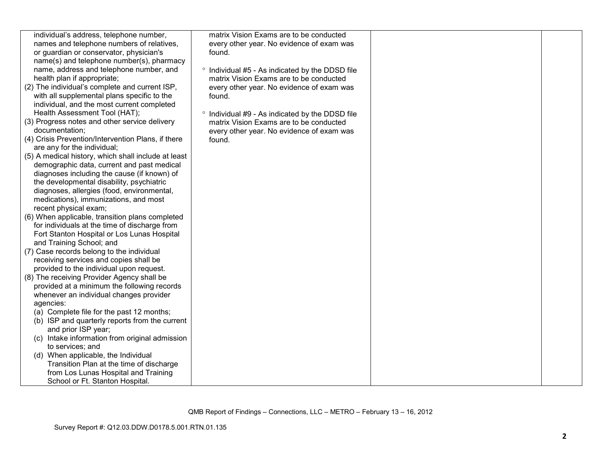| individual's address, telephone number,                        | matrix Vision Exams are to be conducted         |  |
|----------------------------------------------------------------|-------------------------------------------------|--|
| names and telephone numbers of relatives,                      | every other year. No evidence of exam was       |  |
| or guardian or conservator, physician's                        | found.                                          |  |
| name(s) and telephone number(s), pharmacy                      |                                                 |  |
| name, address and telephone number, and                        | ° Individual #5 - As indicated by the DDSD file |  |
| health plan if appropriate;                                    | matrix Vision Exams are to be conducted         |  |
| (2) The individual's complete and current ISP,                 | every other year. No evidence of exam was       |  |
| with all supplemental plans specific to the                    | found.                                          |  |
| individual, and the most current completed                     |                                                 |  |
| Health Assessment Tool (HAT);                                  | ° Individual #9 - As indicated by the DDSD file |  |
| (3) Progress notes and other service delivery                  | matrix Vision Exams are to be conducted         |  |
| documentation;                                                 | every other year. No evidence of exam was       |  |
| (4) Crisis Prevention/Intervention Plans, if there             | found.                                          |  |
| are any for the individual;                                    |                                                 |  |
| (5) A medical history, which shall include at least            |                                                 |  |
| demographic data, current and past medical                     |                                                 |  |
| diagnoses including the cause (if known) of                    |                                                 |  |
| the developmental disability, psychiatric                      |                                                 |  |
| diagnoses, allergies (food, environmental,                     |                                                 |  |
| medications), immunizations, and most<br>recent physical exam; |                                                 |  |
| (6) When applicable, transition plans completed                |                                                 |  |
| for individuals at the time of discharge from                  |                                                 |  |
| Fort Stanton Hospital or Los Lunas Hospital                    |                                                 |  |
| and Training School; and                                       |                                                 |  |
| (7) Case records belong to the individual                      |                                                 |  |
| receiving services and copies shall be                         |                                                 |  |
| provided to the individual upon request.                       |                                                 |  |
| (8) The receiving Provider Agency shall be                     |                                                 |  |
| provided at a minimum the following records                    |                                                 |  |
| whenever an individual changes provider                        |                                                 |  |
| agencies:                                                      |                                                 |  |
| (a) Complete file for the past 12 months;                      |                                                 |  |
| (b) ISP and quarterly reports from the current                 |                                                 |  |
| and prior ISP year;                                            |                                                 |  |
| (c) Intake information from original admission                 |                                                 |  |
| to services; and                                               |                                                 |  |
| (d) When applicable, the Individual                            |                                                 |  |
| Transition Plan at the time of discharge                       |                                                 |  |
| from Los Lunas Hospital and Training                           |                                                 |  |
| School or Ft. Stanton Hospital.                                |                                                 |  |
|                                                                |                                                 |  |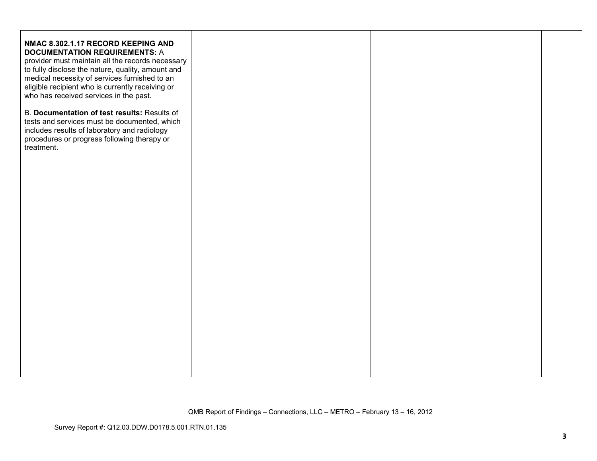| NMAC 8.302.1.17 RECORD KEEPING AND<br><b>DOCUMENTATION REQUIREMENTS: A</b><br>provider must maintain all the records necessary<br>to fully disclose the nature, quality, amount and<br>medical necessity of services furnished to an<br>eligible recipient who is currently receiving or<br>who has received services in the past. |  |  |
|------------------------------------------------------------------------------------------------------------------------------------------------------------------------------------------------------------------------------------------------------------------------------------------------------------------------------------|--|--|
| B. Documentation of test results: Results of<br>tests and services must be documented, which<br>includes results of laboratory and radiology<br>procedures or progress following therapy or<br>treatment.                                                                                                                          |  |  |
|                                                                                                                                                                                                                                                                                                                                    |  |  |
|                                                                                                                                                                                                                                                                                                                                    |  |  |
|                                                                                                                                                                                                                                                                                                                                    |  |  |
|                                                                                                                                                                                                                                                                                                                                    |  |  |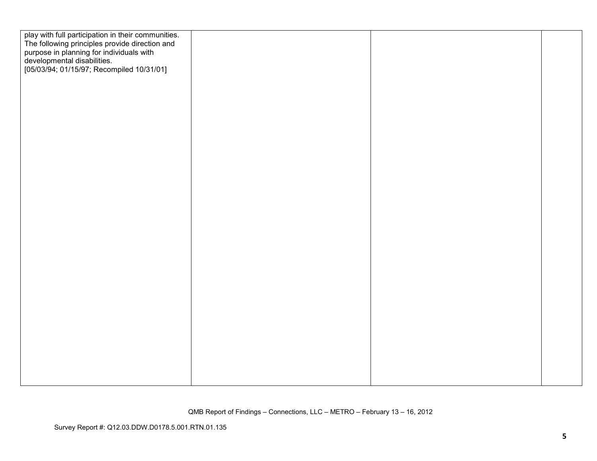| play with full participation in their communities.<br>The following principles provide direction and                 |  |  |
|----------------------------------------------------------------------------------------------------------------------|--|--|
| purpose in planning for individuals with<br>developmental disabilities.<br>[05/03/94; 01/15/97; Recompiled 10/31/01] |  |  |
|                                                                                                                      |  |  |
|                                                                                                                      |  |  |
|                                                                                                                      |  |  |
|                                                                                                                      |  |  |
|                                                                                                                      |  |  |
|                                                                                                                      |  |  |
|                                                                                                                      |  |  |
|                                                                                                                      |  |  |
|                                                                                                                      |  |  |
|                                                                                                                      |  |  |
|                                                                                                                      |  |  |
|                                                                                                                      |  |  |
|                                                                                                                      |  |  |
|                                                                                                                      |  |  |
|                                                                                                                      |  |  |
|                                                                                                                      |  |  |
|                                                                                                                      |  |  |
|                                                                                                                      |  |  |
|                                                                                                                      |  |  |
|                                                                                                                      |  |  |
|                                                                                                                      |  |  |
|                                                                                                                      |  |  |
|                                                                                                                      |  |  |
|                                                                                                                      |  |  |
|                                                                                                                      |  |  |
|                                                                                                                      |  |  |
|                                                                                                                      |  |  |
|                                                                                                                      |  |  |
|                                                                                                                      |  |  |
|                                                                                                                      |  |  |
|                                                                                                                      |  |  |
|                                                                                                                      |  |  |
|                                                                                                                      |  |  |
|                                                                                                                      |  |  |
|                                                                                                                      |  |  |
|                                                                                                                      |  |  |
|                                                                                                                      |  |  |
|                                                                                                                      |  |  |
|                                                                                                                      |  |  |
|                                                                                                                      |  |  |
|                                                                                                                      |  |  |
|                                                                                                                      |  |  |
|                                                                                                                      |  |  |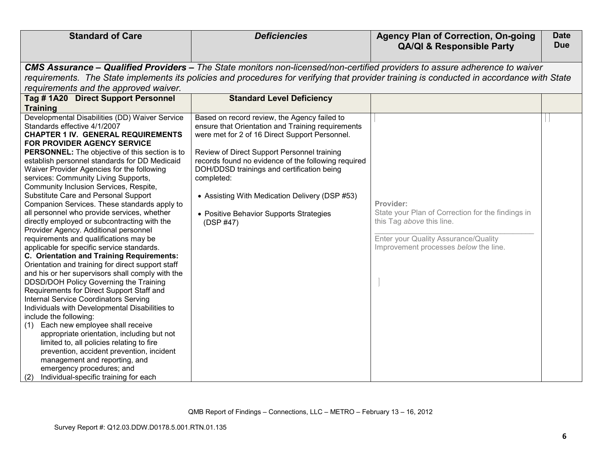| <b>Standard of Care</b>                                                                    | <b>Deficiencies</b>                                                                                                                       | <b>Agency Plan of Correction, On-going</b>        | <b>Date</b> |
|--------------------------------------------------------------------------------------------|-------------------------------------------------------------------------------------------------------------------------------------------|---------------------------------------------------|-------------|
|                                                                                            |                                                                                                                                           | <b>QA/QI &amp; Responsible Party</b>              | <b>Due</b>  |
|                                                                                            | CMS Assurance – Qualified Providers – The State monitors non-licensed/non-certified providers to assure adherence to waiver               |                                                   |             |
|                                                                                            | requirements. The State implements its policies and procedures for verifying that provider training is conducted in accordance with State |                                                   |             |
| requirements and the approved waiver.                                                      |                                                                                                                                           |                                                   |             |
| Tag #1A20 Direct Support Personnel                                                         | <b>Standard Level Deficiency</b>                                                                                                          |                                                   |             |
| <b>Training</b>                                                                            |                                                                                                                                           |                                                   |             |
| Developmental Disabilities (DD) Waiver Service                                             | Based on record review, the Agency failed to                                                                                              |                                                   |             |
| Standards effective 4/1/2007                                                               | ensure that Orientation and Training requirements                                                                                         |                                                   |             |
| <b>CHAPTER 1 IV. GENERAL REQUIREMENTS</b><br>FOR PROVIDER AGENCY SERVICE                   | were met for 2 of 16 Direct Support Personnel.                                                                                            |                                                   |             |
| PERSONNEL: The objective of this section is to                                             | Review of Direct Support Personnel training                                                                                               |                                                   |             |
| establish personnel standards for DD Medicaid                                              | records found no evidence of the following required                                                                                       |                                                   |             |
| Waiver Provider Agencies for the following                                                 | DOH/DDSD trainings and certification being                                                                                                |                                                   |             |
| services: Community Living Supports,                                                       | completed:                                                                                                                                |                                                   |             |
| Community Inclusion Services, Respite,                                                     |                                                                                                                                           |                                                   |             |
| Substitute Care and Personal Support                                                       | • Assisting With Medication Delivery (DSP #53)                                                                                            |                                                   |             |
| Companion Services. These standards apply to                                               |                                                                                                                                           | Provider:                                         |             |
| all personnel who provide services, whether                                                | • Positive Behavior Supports Strategies                                                                                                   | State your Plan of Correction for the findings in |             |
| directly employed or subcontracting with the                                               | (DSP #47)                                                                                                                                 | this Tag above this line.                         |             |
| Provider Agency. Additional personnel                                                      |                                                                                                                                           |                                                   |             |
| requirements and qualifications may be                                                     |                                                                                                                                           | Enter your Quality Assurance/Quality              |             |
| applicable for specific service standards.                                                 |                                                                                                                                           | Improvement processes below the line.             |             |
| C. Orientation and Training Requirements:                                                  |                                                                                                                                           |                                                   |             |
| Orientation and training for direct support staff                                          |                                                                                                                                           |                                                   |             |
| and his or her supervisors shall comply with the<br>DDSD/DOH Policy Governing the Training |                                                                                                                                           |                                                   |             |
| Requirements for Direct Support Staff and                                                  |                                                                                                                                           |                                                   |             |
| <b>Internal Service Coordinators Serving</b>                                               |                                                                                                                                           |                                                   |             |
| Individuals with Developmental Disabilities to                                             |                                                                                                                                           |                                                   |             |
| include the following:                                                                     |                                                                                                                                           |                                                   |             |
| Each new employee shall receive<br>(1)                                                     |                                                                                                                                           |                                                   |             |
| appropriate orientation, including but not                                                 |                                                                                                                                           |                                                   |             |
| limited to, all policies relating to fire                                                  |                                                                                                                                           |                                                   |             |
| prevention, accident prevention, incident                                                  |                                                                                                                                           |                                                   |             |
| management and reporting, and                                                              |                                                                                                                                           |                                                   |             |
| emergency procedures; and                                                                  |                                                                                                                                           |                                                   |             |
| Individual-specific training for each<br>(2)                                               |                                                                                                                                           |                                                   |             |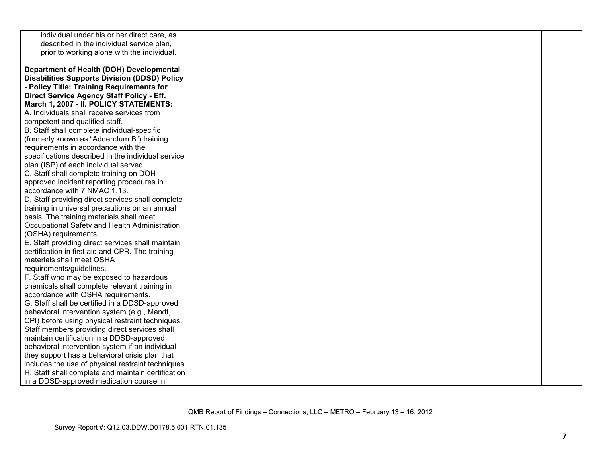| individual under his or her direct care, as         |  |  |
|-----------------------------------------------------|--|--|
| described in the individual service plan,           |  |  |
| prior to working alone with the individual.         |  |  |
|                                                     |  |  |
| Department of Health (DOH) Developmental            |  |  |
| <b>Disabilities Supports Division (DDSD) Policy</b> |  |  |
| - Policy Title: Training Requirements for           |  |  |
| Direct Service Agency Staff Policy - Eff.           |  |  |
| March 1, 2007 - II. POLICY STATEMENTS:              |  |  |
| A. Individuals shall receive services from          |  |  |
| competent and qualified staff.                      |  |  |
| B. Staff shall complete individual-specific         |  |  |
| (formerly known as "Addendum B") training           |  |  |
| requirements in accordance with the                 |  |  |
| specifications described in the individual service  |  |  |
| plan (ISP) of each individual served.               |  |  |
| C. Staff shall complete training on DOH-            |  |  |
| approved incident reporting procedures in           |  |  |
| accordance with 7 NMAC 1.13.                        |  |  |
| D. Staff providing direct services shall complete   |  |  |
| training in universal precautions on an annual      |  |  |
| basis. The training materials shall meet            |  |  |
| Occupational Safety and Health Administration       |  |  |
| (OSHA) requirements.                                |  |  |
| E. Staff providing direct services shall maintain   |  |  |
| certification in first aid and CPR. The training    |  |  |
| materials shall meet OSHA                           |  |  |
| requirements/guidelines.                            |  |  |
| F. Staff who may be exposed to hazardous            |  |  |
| chemicals shall complete relevant training in       |  |  |
| accordance with OSHA requirements.                  |  |  |
| G. Staff shall be certified in a DDSD-approved      |  |  |
| behavioral intervention system (e.g., Mandt,        |  |  |
| CPI) before using physical restraint techniques.    |  |  |
| Staff members providing direct services shall       |  |  |
| maintain certification in a DDSD-approved           |  |  |
| behavioral intervention system if an individual     |  |  |
| they support has a behavioral crisis plan that      |  |  |
| includes the use of physical restraint techniques.  |  |  |
| H. Staff shall complete and maintain certification  |  |  |
| in a DDSD-approved medication course in             |  |  |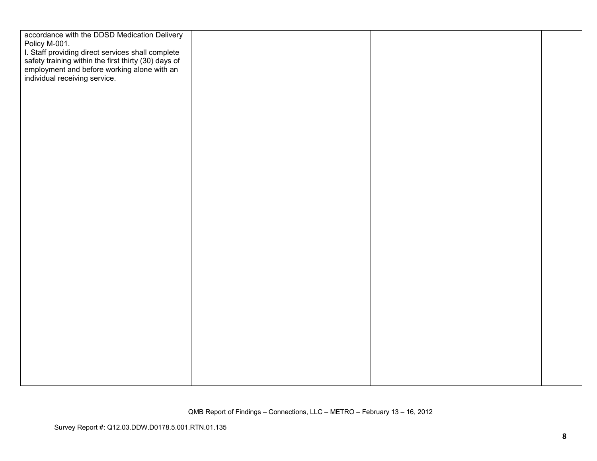| accordance with the DDSD Medication Delivery                                                                                                                                                               |  |
|------------------------------------------------------------------------------------------------------------------------------------------------------------------------------------------------------------|--|
|                                                                                                                                                                                                            |  |
| Policy M-001.<br>1. Staff providing direct services shall complete<br>safety training within the first thirty (30) days of<br>employment and before working alone with an<br>individual receiving service. |  |
|                                                                                                                                                                                                            |  |
|                                                                                                                                                                                                            |  |
|                                                                                                                                                                                                            |  |
|                                                                                                                                                                                                            |  |
|                                                                                                                                                                                                            |  |
|                                                                                                                                                                                                            |  |
|                                                                                                                                                                                                            |  |
|                                                                                                                                                                                                            |  |
|                                                                                                                                                                                                            |  |
|                                                                                                                                                                                                            |  |
|                                                                                                                                                                                                            |  |
|                                                                                                                                                                                                            |  |
|                                                                                                                                                                                                            |  |
|                                                                                                                                                                                                            |  |
|                                                                                                                                                                                                            |  |
|                                                                                                                                                                                                            |  |
|                                                                                                                                                                                                            |  |
|                                                                                                                                                                                                            |  |
|                                                                                                                                                                                                            |  |
|                                                                                                                                                                                                            |  |
|                                                                                                                                                                                                            |  |
|                                                                                                                                                                                                            |  |
|                                                                                                                                                                                                            |  |
|                                                                                                                                                                                                            |  |
|                                                                                                                                                                                                            |  |
|                                                                                                                                                                                                            |  |
|                                                                                                                                                                                                            |  |
|                                                                                                                                                                                                            |  |
|                                                                                                                                                                                                            |  |
|                                                                                                                                                                                                            |  |
|                                                                                                                                                                                                            |  |
|                                                                                                                                                                                                            |  |
|                                                                                                                                                                                                            |  |
|                                                                                                                                                                                                            |  |
|                                                                                                                                                                                                            |  |
|                                                                                                                                                                                                            |  |
|                                                                                                                                                                                                            |  |
|                                                                                                                                                                                                            |  |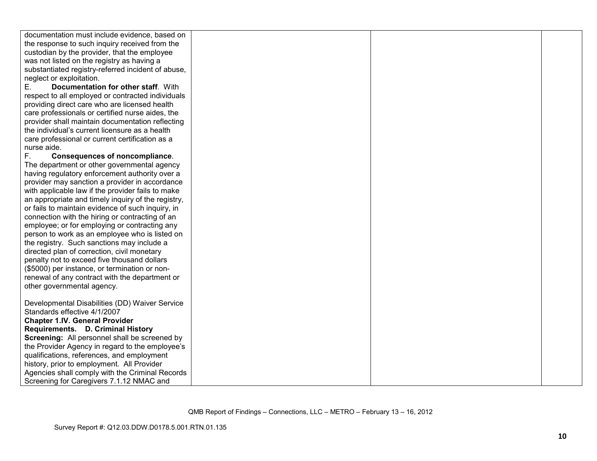| documentation must include evidence, based on      |  |  |
|----------------------------------------------------|--|--|
| the response to such inquiry received from the     |  |  |
| custodian by the provider, that the employee       |  |  |
| was not listed on the registry as having a         |  |  |
| substantiated registry-referred incident of abuse, |  |  |
| neglect or exploitation.                           |  |  |
| Documentation for other staff. With<br>Е.          |  |  |
| respect to all employed or contracted individuals  |  |  |
| providing direct care who are licensed health      |  |  |
| care professionals or certified nurse aides, the   |  |  |
| provider shall maintain documentation reflecting   |  |  |
| the individual's current licensure as a health     |  |  |
| care professional or current certification as a    |  |  |
| nurse aide.                                        |  |  |
| F.<br><b>Consequences of noncompliance.</b>        |  |  |
| The department or other governmental agency        |  |  |
| having regulatory enforcement authority over a     |  |  |
| provider may sanction a provider in accordance     |  |  |
| with applicable law if the provider fails to make  |  |  |
| an appropriate and timely inquiry of the registry, |  |  |
| or fails to maintain evidence of such inquiry, in  |  |  |
| connection with the hiring or contracting of an    |  |  |
| employee; or for employing or contracting any      |  |  |
| person to work as an employee who is listed on     |  |  |
| the registry. Such sanctions may include a         |  |  |
| directed plan of correction, civil monetary        |  |  |
| penalty not to exceed five thousand dollars        |  |  |
| (\$5000) per instance, or termination or non-      |  |  |
| renewal of any contract with the department or     |  |  |
| other governmental agency.                         |  |  |
|                                                    |  |  |
| Developmental Disabilities (DD) Waiver Service     |  |  |
| Standards effective 4/1/2007                       |  |  |
| <b>Chapter 1.IV. General Provider</b>              |  |  |
| Requirements. D. Criminal History                  |  |  |
| Screening: All personnel shall be screened by      |  |  |
| the Provider Agency in regard to the employee's    |  |  |
| qualifications, references, and employment         |  |  |
| history, prior to employment. All Provider         |  |  |
| Agencies shall comply with the Criminal Records    |  |  |
| Screening for Caregivers 7.1.12 NMAC and           |  |  |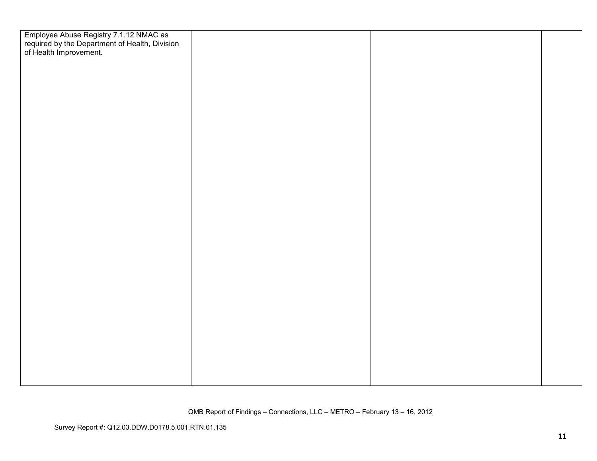| Employee Abuse Registry 7.1.12 NMAC as<br>required by the Department of Health, Division<br>of Health Improvement. |  |  |
|--------------------------------------------------------------------------------------------------------------------|--|--|
|                                                                                                                    |  |  |
|                                                                                                                    |  |  |
|                                                                                                                    |  |  |
|                                                                                                                    |  |  |
|                                                                                                                    |  |  |
|                                                                                                                    |  |  |
|                                                                                                                    |  |  |
|                                                                                                                    |  |  |
|                                                                                                                    |  |  |
|                                                                                                                    |  |  |
|                                                                                                                    |  |  |
|                                                                                                                    |  |  |
|                                                                                                                    |  |  |
|                                                                                                                    |  |  |
|                                                                                                                    |  |  |
|                                                                                                                    |  |  |
|                                                                                                                    |  |  |
|                                                                                                                    |  |  |
|                                                                                                                    |  |  |
|                                                                                                                    |  |  |
|                                                                                                                    |  |  |
|                                                                                                                    |  |  |
|                                                                                                                    |  |  |
|                                                                                                                    |  |  |
|                                                                                                                    |  |  |
|                                                                                                                    |  |  |
|                                                                                                                    |  |  |
|                                                                                                                    |  |  |
|                                                                                                                    |  |  |
|                                                                                                                    |  |  |
|                                                                                                                    |  |  |
|                                                                                                                    |  |  |
|                                                                                                                    |  |  |
|                                                                                                                    |  |  |
|                                                                                                                    |  |  |
|                                                                                                                    |  |  |
|                                                                                                                    |  |  |
|                                                                                                                    |  |  |
|                                                                                                                    |  |  |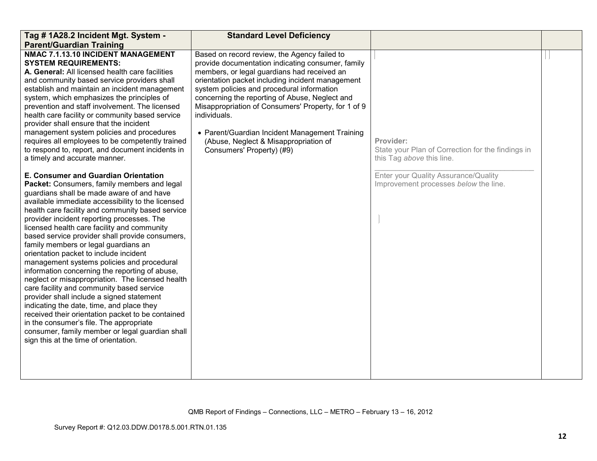| Tag # 1A28.2 Incident Mgt. System -<br><b>Parent/Guardian Training</b>                                                                                                                                                                                                                                                                                                                                                                                                                                                                                                                                                                                                                                                                                                                                                                                                                                                                                             | <b>Standard Level Deficiency</b>                                                                                                                                                                                                                                                                                                                                                                                                                                                                    |                                                                                             |  |
|--------------------------------------------------------------------------------------------------------------------------------------------------------------------------------------------------------------------------------------------------------------------------------------------------------------------------------------------------------------------------------------------------------------------------------------------------------------------------------------------------------------------------------------------------------------------------------------------------------------------------------------------------------------------------------------------------------------------------------------------------------------------------------------------------------------------------------------------------------------------------------------------------------------------------------------------------------------------|-----------------------------------------------------------------------------------------------------------------------------------------------------------------------------------------------------------------------------------------------------------------------------------------------------------------------------------------------------------------------------------------------------------------------------------------------------------------------------------------------------|---------------------------------------------------------------------------------------------|--|
| NMAC 7.1.13.10 INCIDENT MANAGEMENT<br><b>SYSTEM REQUIREMENTS:</b><br>A. General: All licensed health care facilities<br>and community based service providers shall<br>establish and maintain an incident management<br>system, which emphasizes the principles of<br>prevention and staff involvement. The licensed<br>health care facility or community based service<br>provider shall ensure that the incident<br>management system policies and procedures<br>requires all employees to be competently trained<br>to respond to, report, and document incidents in<br>a timely and accurate manner.                                                                                                                                                                                                                                                                                                                                                           | Based on record review, the Agency failed to<br>provide documentation indicating consumer, family<br>members, or legal guardians had received an<br>orientation packet including incident management<br>system policies and procedural information<br>concerning the reporting of Abuse, Neglect and<br>Misappropriation of Consumers' Property, for 1 of 9<br>individuals.<br>• Parent/Guardian Incident Management Training<br>(Abuse, Neglect & Misappropriation of<br>Consumers' Property) (#9) | Provider:<br>State your Plan of Correction for the findings in<br>this Tag above this line. |  |
| E. Consumer and Guardian Orientation<br>Packet: Consumers, family members and legal<br>guardians shall be made aware of and have<br>available immediate accessibility to the licensed<br>health care facility and community based service<br>provider incident reporting processes. The<br>licensed health care facility and community<br>based service provider shall provide consumers,<br>family members or legal guardians an<br>orientation packet to include incident<br>management systems policies and procedural<br>information concerning the reporting of abuse,<br>neglect or misappropriation. The licensed health<br>care facility and community based service<br>provider shall include a signed statement<br>indicating the date, time, and place they<br>received their orientation packet to be contained<br>in the consumer's file. The appropriate<br>consumer, family member or legal guardian shall<br>sign this at the time of orientation. |                                                                                                                                                                                                                                                                                                                                                                                                                                                                                                     | Enter your Quality Assurance/Quality<br>Improvement processes below the line.               |  |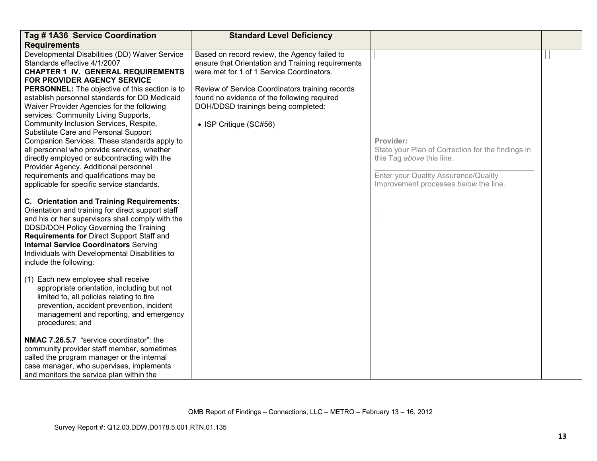| Tag # 1A36 Service Coordination                                                                                                                                                                                                                                                                                                                                                                                                                                                              | <b>Standard Level Deficiency</b>                                                                                                                                                                                                                                                                                  |                                                                                                                                                                 |  |
|----------------------------------------------------------------------------------------------------------------------------------------------------------------------------------------------------------------------------------------------------------------------------------------------------------------------------------------------------------------------------------------------------------------------------------------------------------------------------------------------|-------------------------------------------------------------------------------------------------------------------------------------------------------------------------------------------------------------------------------------------------------------------------------------------------------------------|-----------------------------------------------------------------------------------------------------------------------------------------------------------------|--|
| <b>Requirements</b>                                                                                                                                                                                                                                                                                                                                                                                                                                                                          |                                                                                                                                                                                                                                                                                                                   |                                                                                                                                                                 |  |
| Developmental Disabilities (DD) Waiver Service<br>Standards effective 4/1/2007<br><b>CHAPTER 1 IV. GENERAL REQUIREMENTS</b><br>FOR PROVIDER AGENCY SERVICE<br><b>PERSONNEL:</b> The objective of this section is to<br>establish personnel standards for DD Medicaid<br>Waiver Provider Agencies for the following<br>services: Community Living Supports,<br>Community Inclusion Services, Respite,<br>Substitute Care and Personal Support<br>Companion Services. These standards apply to | Based on record review, the Agency failed to<br>ensure that Orientation and Training requirements<br>were met for 1 of 1 Service Coordinators.<br>Review of Service Coordinators training records<br>found no evidence of the following required<br>DOH/DDSD trainings being completed:<br>• ISP Critique (SC#56) | Provider:                                                                                                                                                       |  |
| all personnel who provide services, whether<br>directly employed or subcontracting with the<br>Provider Agency. Additional personnel<br>requirements and qualifications may be<br>applicable for specific service standards.                                                                                                                                                                                                                                                                 |                                                                                                                                                                                                                                                                                                                   | State your Plan of Correction for the findings in<br>this Tag above this line.<br>Enter your Quality Assurance/Quality<br>Improvement processes below the line. |  |
| <b>C. Orientation and Training Requirements:</b><br>Orientation and training for direct support staff<br>and his or her supervisors shall comply with the<br>DDSD/DOH Policy Governing the Training<br>Requirements for Direct Support Staff and<br><b>Internal Service Coordinators Serving</b><br>Individuals with Developmental Disabilities to<br>include the following:                                                                                                                 |                                                                                                                                                                                                                                                                                                                   |                                                                                                                                                                 |  |
| (1) Each new employee shall receive<br>appropriate orientation, including but not<br>limited to, all policies relating to fire<br>prevention, accident prevention, incident<br>management and reporting, and emergency<br>procedures; and                                                                                                                                                                                                                                                    |                                                                                                                                                                                                                                                                                                                   |                                                                                                                                                                 |  |
| NMAC 7.26.5.7 "service coordinator": the<br>community provider staff member, sometimes<br>called the program manager or the internal<br>case manager, who supervises, implements<br>and monitors the service plan within the                                                                                                                                                                                                                                                                 |                                                                                                                                                                                                                                                                                                                   |                                                                                                                                                                 |  |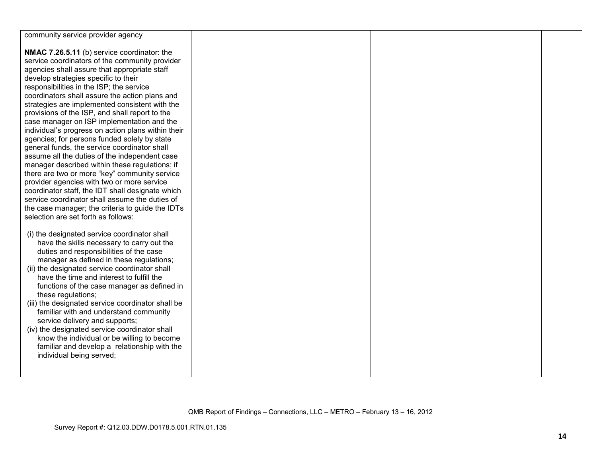| community service provider agency                                                                  |  |  |
|----------------------------------------------------------------------------------------------------|--|--|
| NMAC 7.26.5.11 (b) service coordinator: the                                                        |  |  |
| service coordinators of the community provider                                                     |  |  |
| agencies shall assure that appropriate staff                                                       |  |  |
| develop strategies specific to their                                                               |  |  |
| responsibilities in the ISP; the service                                                           |  |  |
| coordinators shall assure the action plans and                                                     |  |  |
| strategies are implemented consistent with the                                                     |  |  |
| provisions of the ISP, and shall report to the                                                     |  |  |
| case manager on ISP implementation and the                                                         |  |  |
| individual's progress on action plans within their                                                 |  |  |
| agencies; for persons funded solely by state                                                       |  |  |
| general funds, the service coordinator shall                                                       |  |  |
| assume all the duties of the independent case                                                      |  |  |
| manager described within these regulations; if                                                     |  |  |
| there are two or more "key" community service                                                      |  |  |
| provider agencies with two or more service                                                         |  |  |
| coordinator staff, the IDT shall designate which<br>service coordinator shall assume the duties of |  |  |
| the case manager; the criteria to guide the IDTs                                                   |  |  |
| selection are set forth as follows:                                                                |  |  |
|                                                                                                    |  |  |
| (i) the designated service coordinator shall                                                       |  |  |
| have the skills necessary to carry out the                                                         |  |  |
| duties and responsibilities of the case                                                            |  |  |
| manager as defined in these regulations;                                                           |  |  |
| (ii) the designated service coordinator shall                                                      |  |  |
| have the time and interest to fulfill the                                                          |  |  |
| functions of the case manager as defined in                                                        |  |  |
| these regulations;                                                                                 |  |  |
| (iii) the designated service coordinator shall be                                                  |  |  |
| familiar with and understand community<br>service delivery and supports;                           |  |  |
| (iv) the designated service coordinator shall                                                      |  |  |
| know the individual or be willing to become                                                        |  |  |
| familiar and develop a relationship with the                                                       |  |  |
| individual being served;                                                                           |  |  |
|                                                                                                    |  |  |
|                                                                                                    |  |  |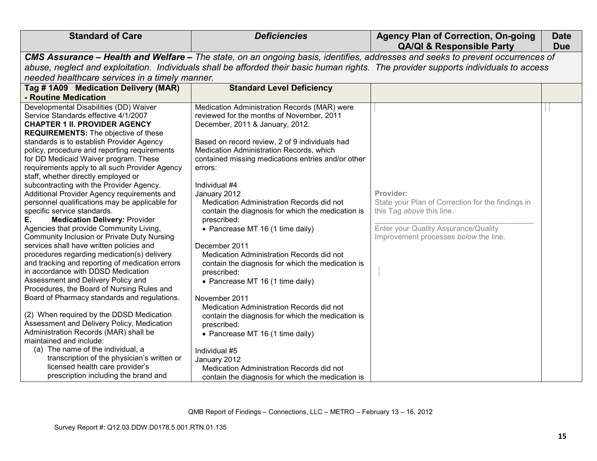| CMS Assurance - Health and Welfare - The state, on an ongoing basis, identifies, addresses and seeks to prevent occurrences of<br>abuse, neglect and exploitation. Individuals shall be afforded their basic human rights. The provider supports individuals to access<br>needed healthcare services in a timely manner.<br><b>Standard Level Deficiency</b><br>Tag #1A09 Medication Delivery (MAR)                                                                                                                                                                                                                                                                                                                                                                                                                                                                                                                                                                                                                                                                                                                                                                                                                                                                                                                                                                                                                                                                                                                                                                                                                                                                                                                                                                                                                                                                                                                                                                                                                                                                                                                                                                                                                                                                                                                                                                                                                                  |  |
|--------------------------------------------------------------------------------------------------------------------------------------------------------------------------------------------------------------------------------------------------------------------------------------------------------------------------------------------------------------------------------------------------------------------------------------------------------------------------------------------------------------------------------------------------------------------------------------------------------------------------------------------------------------------------------------------------------------------------------------------------------------------------------------------------------------------------------------------------------------------------------------------------------------------------------------------------------------------------------------------------------------------------------------------------------------------------------------------------------------------------------------------------------------------------------------------------------------------------------------------------------------------------------------------------------------------------------------------------------------------------------------------------------------------------------------------------------------------------------------------------------------------------------------------------------------------------------------------------------------------------------------------------------------------------------------------------------------------------------------------------------------------------------------------------------------------------------------------------------------------------------------------------------------------------------------------------------------------------------------------------------------------------------------------------------------------------------------------------------------------------------------------------------------------------------------------------------------------------------------------------------------------------------------------------------------------------------------------------------------------------------------------------------------------------------------|--|
|                                                                                                                                                                                                                                                                                                                                                                                                                                                                                                                                                                                                                                                                                                                                                                                                                                                                                                                                                                                                                                                                                                                                                                                                                                                                                                                                                                                                                                                                                                                                                                                                                                                                                                                                                                                                                                                                                                                                                                                                                                                                                                                                                                                                                                                                                                                                                                                                                                      |  |
|                                                                                                                                                                                                                                                                                                                                                                                                                                                                                                                                                                                                                                                                                                                                                                                                                                                                                                                                                                                                                                                                                                                                                                                                                                                                                                                                                                                                                                                                                                                                                                                                                                                                                                                                                                                                                                                                                                                                                                                                                                                                                                                                                                                                                                                                                                                                                                                                                                      |  |
|                                                                                                                                                                                                                                                                                                                                                                                                                                                                                                                                                                                                                                                                                                                                                                                                                                                                                                                                                                                                                                                                                                                                                                                                                                                                                                                                                                                                                                                                                                                                                                                                                                                                                                                                                                                                                                                                                                                                                                                                                                                                                                                                                                                                                                                                                                                                                                                                                                      |  |
|                                                                                                                                                                                                                                                                                                                                                                                                                                                                                                                                                                                                                                                                                                                                                                                                                                                                                                                                                                                                                                                                                                                                                                                                                                                                                                                                                                                                                                                                                                                                                                                                                                                                                                                                                                                                                                                                                                                                                                                                                                                                                                                                                                                                                                                                                                                                                                                                                                      |  |
| - Routine Medication                                                                                                                                                                                                                                                                                                                                                                                                                                                                                                                                                                                                                                                                                                                                                                                                                                                                                                                                                                                                                                                                                                                                                                                                                                                                                                                                                                                                                                                                                                                                                                                                                                                                                                                                                                                                                                                                                                                                                                                                                                                                                                                                                                                                                                                                                                                                                                                                                 |  |
| Developmental Disabilities (DD) Waiver<br>Medication Administration Records (MAR) were<br>reviewed for the months of November, 2011<br>Service Standards effective 4/1/2007<br>December, 2011 & January, 2012.<br><b>CHAPTER 1 II. PROVIDER AGENCY</b><br><b>REQUIREMENTS:</b> The objective of these<br>standards is to establish Provider Agency<br>Based on record review, 2 of 9 individuals had<br>policy, procedure and reporting requirements<br>Medication Administration Records, which<br>for DD Medicaid Waiver program. These<br>contained missing medications entries and/or other<br>requirements apply to all such Provider Agency<br>errors:<br>staff, whether directly employed or<br>subcontracting with the Provider Agency.<br>Individual #4<br>Provider:<br>Additional Provider Agency requirements and<br>January 2012<br>Medication Administration Records did not<br>State your Plan of Correction for the findings in<br>personnel qualifications may be applicable for<br>this Tag above this line.<br>specific service standards.<br>contain the diagnosis for which the medication is<br><b>Medication Delivery: Provider</b><br>Е.<br>prescribed:<br>Enter your Quality Assurance/Quality<br>Agencies that provide Community Living,<br>• Pancrease MT 16 (1 time daily)<br>Community Inclusion or Private Duty Nursing<br>Improvement processes below the line.<br>services shall have written policies and<br>December 2011<br>procedures regarding medication(s) delivery<br>Medication Administration Records did not<br>and tracking and reporting of medication errors<br>contain the diagnosis for which the medication is<br>in accordance with DDSD Medication<br>prescribed:<br>Assessment and Delivery Policy and<br>• Pancrease MT 16 (1 time daily)<br>Procedures, the Board of Nursing Rules and<br>Board of Pharmacy standards and regulations.<br>November 2011<br>Medication Administration Records did not<br>(2) When required by the DDSD Medication<br>contain the diagnosis for which the medication is<br>Assessment and Delivery Policy, Medication<br>prescribed:<br>Administration Records (MAR) shall be<br>• Pancrease MT 16 (1 time daily)<br>maintained and include:<br>(a) The name of the individual, a<br>Individual #5<br>transcription of the physician's written or<br>January 2012<br>licensed health care provider's<br>Medication Administration Records did not |  |
| prescription including the brand and<br>contain the diagnosis for which the medication is                                                                                                                                                                                                                                                                                                                                                                                                                                                                                                                                                                                                                                                                                                                                                                                                                                                                                                                                                                                                                                                                                                                                                                                                                                                                                                                                                                                                                                                                                                                                                                                                                                                                                                                                                                                                                                                                                                                                                                                                                                                                                                                                                                                                                                                                                                                                            |  |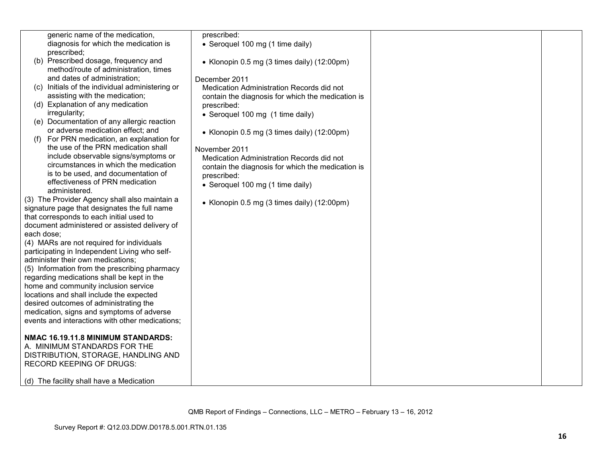|            | generic name of the medication,                 | prescribed:                                       |  |
|------------|-------------------------------------------------|---------------------------------------------------|--|
|            | diagnosis for which the medication is           | • Seroquel 100 mg (1 time daily)                  |  |
|            | prescribed;                                     |                                                   |  |
|            | (b) Prescribed dosage, frequency and            | • Klonopin 0.5 mg (3 times daily) (12:00pm)       |  |
|            | method/route of administration, times           |                                                   |  |
|            | and dates of administration;                    | December 2011                                     |  |
| (C)        | Initials of the individual administering or     | Medication Administration Records did not         |  |
|            | assisting with the medication;                  | contain the diagnosis for which the medication is |  |
|            | (d) Explanation of any medication               | prescribed:                                       |  |
|            | irregularity;                                   | • Seroquel 100 mg (1 time daily)                  |  |
|            | (e) Documentation of any allergic reaction      |                                                   |  |
|            | or adverse medication effect; and               | • Klonopin 0.5 mg (3 times daily) (12:00pm)       |  |
|            | For PRN medication, an explanation for          |                                                   |  |
|            | the use of the PRN medication shall             | November 2011                                     |  |
|            | include observable signs/symptoms or            | Medication Administration Records did not         |  |
|            | circumstances in which the medication           | contain the diagnosis for which the medication is |  |
|            | is to be used, and documentation of             | prescribed:                                       |  |
|            | effectiveness of PRN medication                 | • Seroquel 100 mg (1 time daily)                  |  |
|            | administered.                                   |                                                   |  |
|            | (3) The Provider Agency shall also maintain a   | • Klonopin 0.5 mg (3 times daily) (12:00pm)       |  |
|            | signature page that designates the full name    |                                                   |  |
|            | that corresponds to each initial used to        |                                                   |  |
|            | document administered or assisted delivery of   |                                                   |  |
| each dose; |                                                 |                                                   |  |
|            | (4) MARs are not required for individuals       |                                                   |  |
|            | participating in Independent Living who self-   |                                                   |  |
|            | administer their own medications;               |                                                   |  |
|            | (5) Information from the prescribing pharmacy   |                                                   |  |
|            | regarding medications shall be kept in the      |                                                   |  |
|            | home and community inclusion service            |                                                   |  |
|            | locations and shall include the expected        |                                                   |  |
|            | desired outcomes of administrating the          |                                                   |  |
|            | medication, signs and symptoms of adverse       |                                                   |  |
|            | events and interactions with other medications; |                                                   |  |
|            |                                                 |                                                   |  |
|            | NMAC 16.19.11.8 MINIMUM STANDARDS:              |                                                   |  |
|            | A. MINIMUM STANDARDS FOR THE                    |                                                   |  |
|            | DISTRIBUTION, STORAGE, HANDLING AND             |                                                   |  |
|            | <b>RECORD KEEPING OF DRUGS:</b>                 |                                                   |  |
|            |                                                 |                                                   |  |
|            | (d) The facility shall have a Medication        |                                                   |  |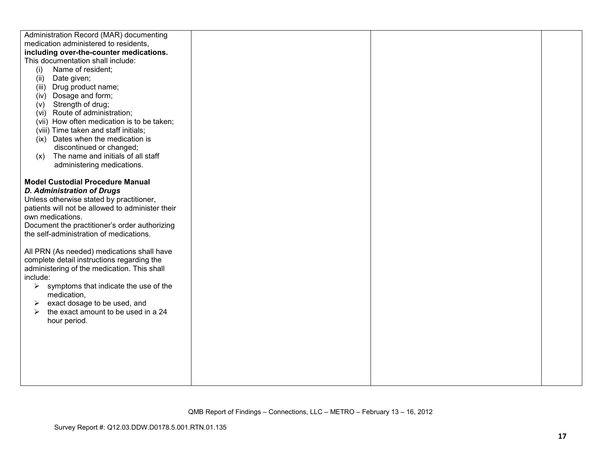| Administration Record (MAR) documenting          |  |  |
|--------------------------------------------------|--|--|
| medication administered to residents,            |  |  |
| including over-the-counter medications.          |  |  |
| This documentation shall include:                |  |  |
| Name of resident;<br>(i)                         |  |  |
| Date given;<br>(ii)                              |  |  |
| Drug product name;<br>(iii)                      |  |  |
| (iv) Dosage and form;                            |  |  |
| Strength of drug;<br>(v)                         |  |  |
| (vi) Route of administration;                    |  |  |
| (vii) How often medication is to be taken;       |  |  |
| (viii) Time taken and staff initials;            |  |  |
| (ix) Dates when the medication is                |  |  |
| discontinued or changed;                         |  |  |
| The name and initials of all staff<br>(x)        |  |  |
| administering medications.                       |  |  |
|                                                  |  |  |
| <b>Model Custodial Procedure Manual</b>          |  |  |
| <b>D. Administration of Drugs</b>                |  |  |
| Unless otherwise stated by practitioner,         |  |  |
| patients will not be allowed to administer their |  |  |
| own medications.                                 |  |  |
| Document the practitioner's order authorizing    |  |  |
| the self-administration of medications.          |  |  |
|                                                  |  |  |
| All PRN (As needed) medications shall have       |  |  |
| complete detail instructions regarding the       |  |  |
| administering of the medication. This shall      |  |  |
| include:                                         |  |  |
| symptoms that indicate the use of the<br>➤       |  |  |
| medication,                                      |  |  |
| exact dosage to be used, and<br>➤                |  |  |
| the exact amount to be used in a 24<br>➤         |  |  |
| hour period.                                     |  |  |
|                                                  |  |  |
|                                                  |  |  |
|                                                  |  |  |
|                                                  |  |  |
|                                                  |  |  |
|                                                  |  |  |
|                                                  |  |  |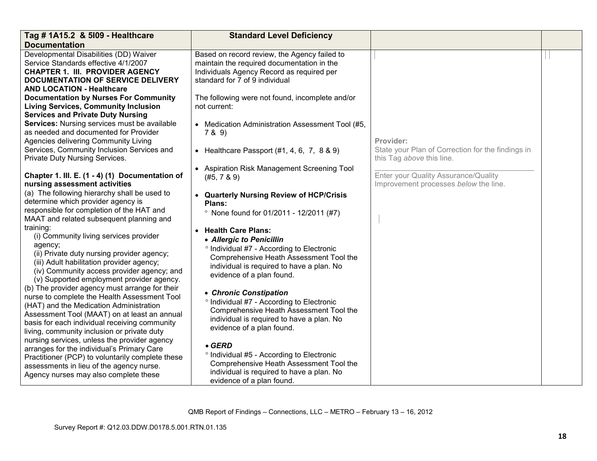| Tag # 1A15.2 & 5109 - Healthcare                                                            | <b>Standard Level Deficiency</b>                                            |                                                   |  |
|---------------------------------------------------------------------------------------------|-----------------------------------------------------------------------------|---------------------------------------------------|--|
| <b>Documentation</b>                                                                        |                                                                             |                                                   |  |
| Developmental Disabilities (DD) Waiver                                                      | Based on record review, the Agency failed to                                |                                                   |  |
| Service Standards effective 4/1/2007                                                        | maintain the required documentation in the                                  |                                                   |  |
| <b>CHAPTER 1. III. PROVIDER AGENCY</b>                                                      | Individuals Agency Record as required per<br>standard for 7 of 9 individual |                                                   |  |
| <b>DOCUMENTATION OF SERVICE DELIVERY</b><br><b>AND LOCATION - Healthcare</b>                |                                                                             |                                                   |  |
| <b>Documentation by Nurses For Community</b>                                                |                                                                             |                                                   |  |
| <b>Living Services, Community Inclusion</b>                                                 | The following were not found, incomplete and/or<br>not current:             |                                                   |  |
| <b>Services and Private Duty Nursing</b>                                                    |                                                                             |                                                   |  |
| Services: Nursing services must be available                                                | • Medication Administration Assessment Tool (#5,                            |                                                   |  |
| as needed and documented for Provider                                                       | 7 & 9)                                                                      |                                                   |  |
| Agencies delivering Community Living                                                        |                                                                             | Provider:                                         |  |
| Services, Community Inclusion Services and                                                  | • Healthcare Passport $(\#1, 4, 6, 7, 8 \& 9)$                              | State your Plan of Correction for the findings in |  |
| Private Duty Nursing Services.                                                              |                                                                             | this Tag above this line.                         |  |
|                                                                                             | <b>Aspiration Risk Management Screening Tool</b>                            |                                                   |  |
| Chapter 1. III. E. (1 - 4) (1) Documentation of                                             | (#5, 7, 8, 9)                                                               | Enter your Quality Assurance/Quality              |  |
| nursing assessment activities                                                               |                                                                             | Improvement processes below the line.             |  |
| (a) The following hierarchy shall be used to                                                | • Quarterly Nursing Review of HCP/Crisis                                    |                                                   |  |
| determine which provider agency is                                                          | Plans:                                                                      |                                                   |  |
| responsible for completion of the HAT and                                                   | <sup>o</sup> None found for 01/2011 - 12/2011 (#7)                          |                                                   |  |
| MAAT and related subsequent planning and                                                    |                                                                             |                                                   |  |
| training:                                                                                   | <b>Health Care Plans:</b>                                                   |                                                   |  |
| (i) Community living services provider                                                      | • Allergic to Penicillin                                                    |                                                   |  |
| agency;                                                                                     | ° Individual #7 - According to Electronic                                   |                                                   |  |
| (ii) Private duty nursing provider agency;                                                  | Comprehensive Heath Assessment Tool the                                     |                                                   |  |
| (iii) Adult habilitation provider agency;                                                   | individual is required to have a plan. No                                   |                                                   |  |
| (iv) Community access provider agency; and                                                  | evidence of a plan found.                                                   |                                                   |  |
| (v) Supported employment provider agency.<br>(b) The provider agency must arrange for their |                                                                             |                                                   |  |
| nurse to complete the Health Assessment Tool                                                | • Chronic Constipation                                                      |                                                   |  |
| (HAT) and the Medication Administration                                                     | ° Individual #7 - According to Electronic                                   |                                                   |  |
| Assessment Tool (MAAT) on at least an annual                                                | Comprehensive Heath Assessment Tool the                                     |                                                   |  |
| basis for each individual receiving community                                               | individual is required to have a plan. No                                   |                                                   |  |
| living, community inclusion or private duty                                                 | evidence of a plan found.                                                   |                                                   |  |
| nursing services, unless the provider agency                                                |                                                                             |                                                   |  |
| arranges for the individual's Primary Care                                                  | $•$ GERD                                                                    |                                                   |  |
| Practitioner (PCP) to voluntarily complete these                                            | <sup>o</sup> Individual #5 - According to Electronic                        |                                                   |  |
| assessments in lieu of the agency nurse.                                                    | Comprehensive Heath Assessment Tool the                                     |                                                   |  |
| Agency nurses may also complete these                                                       | individual is required to have a plan. No                                   |                                                   |  |
|                                                                                             | evidence of a plan found.                                                   |                                                   |  |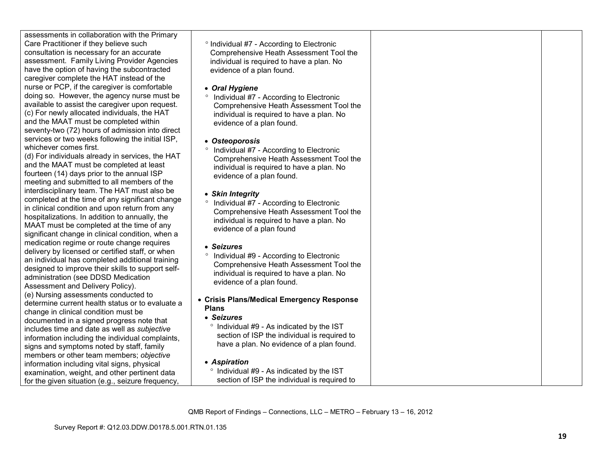| assessments in collaboration with the Primary<br>Care Practitioner if they believe such<br>consultation is necessary for an accurate<br>assessment. Family Living Provider Agencies<br>have the option of having the subcontracted<br>caregiver complete the HAT instead of the<br>nurse or PCP, if the caregiver is comfortable<br>doing so. However, the agency nurse must be<br>available to assist the caregiver upon request.<br>(c) For newly allocated individuals, the HAT<br>and the MAAT must be completed within<br>seventy-two (72) hours of admission into direct<br>services or two weeks following the initial ISP,<br>whichever comes first.<br>(d) For individuals already in services, the HAT<br>and the MAAT must be completed at least<br>fourteen (14) days prior to the annual ISP<br>meeting and submitted to all members of the<br>interdisciplinary team. The HAT must also be<br>completed at the time of any significant change<br>in clinical condition and upon return from any<br>hospitalizations. In addition to annually, the<br>MAAT must be completed at the time of any<br>significant change in clinical condition, when a<br>medication regime or route change requires<br>delivery by licensed or certified staff, or when<br>an individual has completed additional training<br>designed to improve their skills to support self-<br>administration (see DDSD Medication<br>Assessment and Delivery Policy). | <sup>o</sup> Individual #7 - According to Electronic<br>Comprehensive Heath Assessment Tool the<br>individual is required to have a plan. No<br>evidence of a plan found.<br>• Oral Hygiene<br>Individual #7 - According to Electronic<br>$\circ$<br>Comprehensive Heath Assessment Tool the<br>individual is required to have a plan. No<br>evidence of a plan found.<br>• Osteoporosis<br>Individual #7 - According to Electronic<br>Comprehensive Heath Assessment Tool the<br>individual is required to have a plan. No<br>evidence of a plan found.<br>• Skin Integrity<br><sup>o</sup> Individual #7 - According to Electronic<br>Comprehensive Heath Assessment Tool the<br>individual is required to have a plan. No<br>evidence of a plan found<br>• Seizures<br><sup>o</sup> Individual #9 - According to Electronic<br>Comprehensive Heath Assessment Tool the<br>individual is required to have a plan. No<br>evidence of a plan found. |  |
|-------------------------------------------------------------------------------------------------------------------------------------------------------------------------------------------------------------------------------------------------------------------------------------------------------------------------------------------------------------------------------------------------------------------------------------------------------------------------------------------------------------------------------------------------------------------------------------------------------------------------------------------------------------------------------------------------------------------------------------------------------------------------------------------------------------------------------------------------------------------------------------------------------------------------------------------------------------------------------------------------------------------------------------------------------------------------------------------------------------------------------------------------------------------------------------------------------------------------------------------------------------------------------------------------------------------------------------------------------------------------------------------------------------------------------------------------------|-----------------------------------------------------------------------------------------------------------------------------------------------------------------------------------------------------------------------------------------------------------------------------------------------------------------------------------------------------------------------------------------------------------------------------------------------------------------------------------------------------------------------------------------------------------------------------------------------------------------------------------------------------------------------------------------------------------------------------------------------------------------------------------------------------------------------------------------------------------------------------------------------------------------------------------------------------|--|
| (e) Nursing assessments conducted to<br>determine current health status or to evaluate a<br>change in clinical condition must be                                                                                                                                                                                                                                                                                                                                                                                                                                                                                                                                                                                                                                                                                                                                                                                                                                                                                                                                                                                                                                                                                                                                                                                                                                                                                                                      | • Crisis Plans/Medical Emergency Response<br><b>Plans</b>                                                                                                                                                                                                                                                                                                                                                                                                                                                                                                                                                                                                                                                                                                                                                                                                                                                                                           |  |
| documented in a signed progress note that<br>includes time and date as well as subjective<br>information including the individual complaints,<br>signs and symptoms noted by staff, family                                                                                                                                                                                                                                                                                                                                                                                                                                                                                                                                                                                                                                                                                                                                                                                                                                                                                                                                                                                                                                                                                                                                                                                                                                                            | • Seizures<br>° Individual #9 - As indicated by the IST<br>section of ISP the individual is required to<br>have a plan. No evidence of a plan found.                                                                                                                                                                                                                                                                                                                                                                                                                                                                                                                                                                                                                                                                                                                                                                                                |  |
| members or other team members; objective<br>information including vital signs, physical<br>examination, weight, and other pertinent data<br>for the given situation (e.g., seizure frequency,                                                                                                                                                                                                                                                                                                                                                                                                                                                                                                                                                                                                                                                                                                                                                                                                                                                                                                                                                                                                                                                                                                                                                                                                                                                         | • Aspiration<br>° Individual #9 - As indicated by the IST<br>section of ISP the individual is required to                                                                                                                                                                                                                                                                                                                                                                                                                                                                                                                                                                                                                                                                                                                                                                                                                                           |  |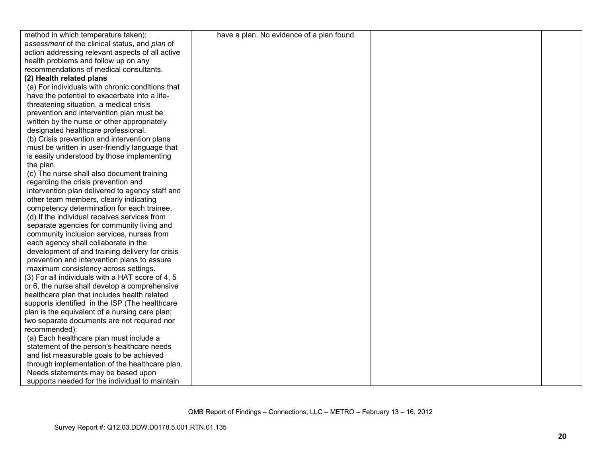| method in which temperature taken);              | have a plan. No evidence of a plan found. |  |
|--------------------------------------------------|-------------------------------------------|--|
| assessment of the clinical status, and plan of   |                                           |  |
| action addressing relevant aspects of all active |                                           |  |
| health problems and follow up on any             |                                           |  |
| recommendations of medical consultants.          |                                           |  |
| (2) Health related plans                         |                                           |  |
| (a) For individuals with chronic conditions that |                                           |  |
| have the potential to exacerbate into a life-    |                                           |  |
| threatening situation, a medical crisis          |                                           |  |
| prevention and intervention plan must be         |                                           |  |
| written by the nurse or other appropriately      |                                           |  |
| designated healthcare professional.              |                                           |  |
| (b) Crisis prevention and intervention plans     |                                           |  |
| must be written in user-friendly language that   |                                           |  |
| is easily understood by those implementing       |                                           |  |
| the plan.                                        |                                           |  |
| (c) The nurse shall also document training       |                                           |  |
| regarding the crisis prevention and              |                                           |  |
| intervention plan delivered to agency staff and  |                                           |  |
| other team members, clearly indicating           |                                           |  |
| competency determination for each trainee.       |                                           |  |
| (d) If the individual receives services from     |                                           |  |
| separate agencies for community living and       |                                           |  |
| community inclusion services, nurses from        |                                           |  |
| each agency shall collaborate in the             |                                           |  |
| development of and training delivery for crisis  |                                           |  |
| prevention and intervention plans to assure      |                                           |  |
| maximum consistency across settings.             |                                           |  |
| (3) For all individuals with a HAT score of 4, 5 |                                           |  |
| or 6, the nurse shall develop a comprehensive    |                                           |  |
| healthcare plan that includes health related     |                                           |  |
| supports identified in the ISP (The healthcare   |                                           |  |
| plan is the equivalent of a nursing care plan;   |                                           |  |
| two separate documents are not required nor      |                                           |  |
| recommended):                                    |                                           |  |
| (a) Each healthcare plan must include a          |                                           |  |
| statement of the person's healthcare needs       |                                           |  |
| and list measurable goals to be achieved         |                                           |  |
| through implementation of the healthcare plan.   |                                           |  |
| Needs statements may be based upon               |                                           |  |
| supports needed for the individual to maintain   |                                           |  |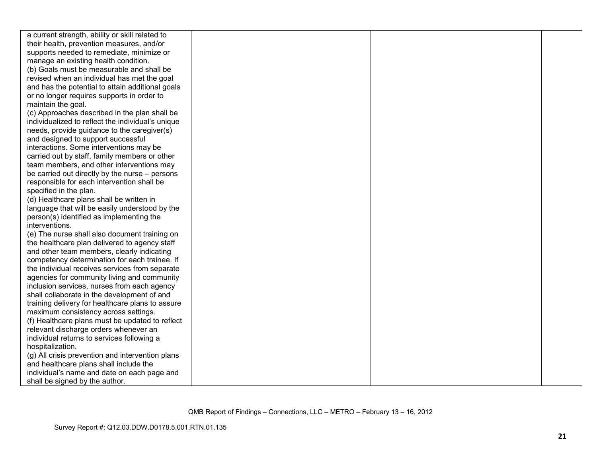| a current strength, ability or skill related to   |  |  |
|---------------------------------------------------|--|--|
| their health, prevention measures, and/or         |  |  |
| supports needed to remediate, minimize or         |  |  |
| manage an existing health condition.              |  |  |
| (b) Goals must be measurable and shall be         |  |  |
| revised when an individual has met the goal       |  |  |
| and has the potential to attain additional goals  |  |  |
| or no longer requires supports in order to        |  |  |
| maintain the goal.                                |  |  |
| (c) Approaches described in the plan shall be     |  |  |
| individualized to reflect the individual's unique |  |  |
| needs, provide guidance to the caregiver(s)       |  |  |
| and designed to support successful                |  |  |
| interactions. Some interventions may be           |  |  |
| carried out by staff, family members or other     |  |  |
| team members, and other interventions may         |  |  |
| be carried out directly by the nurse – persons    |  |  |
| responsible for each intervention shall be        |  |  |
| specified in the plan.                            |  |  |
| (d) Healthcare plans shall be written in          |  |  |
| language that will be easily understood by the    |  |  |
| person(s) identified as implementing the          |  |  |
| interventions.                                    |  |  |
| (e) The nurse shall also document training on     |  |  |
| the healthcare plan delivered to agency staff     |  |  |
| and other team members, clearly indicating        |  |  |
| competency determination for each trainee. If     |  |  |
| the individual receives services from separate    |  |  |
| agencies for community living and community       |  |  |
| inclusion services, nurses from each agency       |  |  |
| shall collaborate in the development of and       |  |  |
| training delivery for healthcare plans to assure  |  |  |
| maximum consistency across settings.              |  |  |
| (f) Healthcare plans must be updated to reflect   |  |  |
| relevant discharge orders whenever an             |  |  |
| individual returns to services following a        |  |  |
| hospitalization.                                  |  |  |
| (g) All crisis prevention and intervention plans  |  |  |
| and healthcare plans shall include the            |  |  |
| individual's name and date on each page and       |  |  |
| shall be signed by the author.                    |  |  |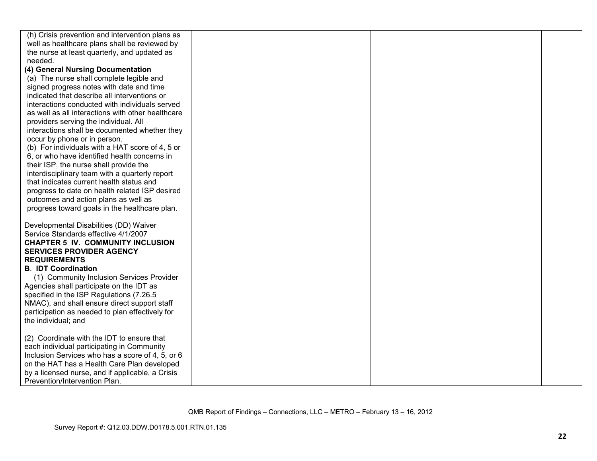| (h) Crisis prevention and intervention plans as   |  |  |
|---------------------------------------------------|--|--|
| well as healthcare plans shall be reviewed by     |  |  |
| the nurse at least quarterly, and updated as      |  |  |
| needed.                                           |  |  |
| (4) General Nursing Documentation                 |  |  |
| (a) The nurse shall complete legible and          |  |  |
| signed progress notes with date and time          |  |  |
| indicated that describe all interventions or      |  |  |
| interactions conducted with individuals served    |  |  |
| as well as all interactions with other healthcare |  |  |
| providers serving the individual. All             |  |  |
| interactions shall be documented whether they     |  |  |
| occur by phone or in person.                      |  |  |
| (b) For individuals with a HAT score of 4, 5 or   |  |  |
| 6, or who have identified health concerns in      |  |  |
| their ISP, the nurse shall provide the            |  |  |
| interdisciplinary team with a quarterly report    |  |  |
| that indicates current health status and          |  |  |
| progress to date on health related ISP desired    |  |  |
| outcomes and action plans as well as              |  |  |
| progress toward goals in the healthcare plan.     |  |  |
|                                                   |  |  |
| Developmental Disabilities (DD) Waiver            |  |  |
| Service Standards effective 4/1/2007              |  |  |
| <b>CHAPTER 5 IV. COMMUNITY INCLUSION</b>          |  |  |
| <b>SERVICES PROVIDER AGENCY</b>                   |  |  |
| <b>REQUIREMENTS</b>                               |  |  |
| <b>B. IDT Coordination</b>                        |  |  |
| (1) Community Inclusion Services Provider         |  |  |
| Agencies shall participate on the IDT as          |  |  |
| specified in the ISP Regulations (7.26.5)         |  |  |
| NMAC), and shall ensure direct support staff      |  |  |
| participation as needed to plan effectively for   |  |  |
| the individual; and                               |  |  |
|                                                   |  |  |
| (2) Coordinate with the IDT to ensure that        |  |  |
| each individual participating in Community        |  |  |
| Inclusion Services who has a score of 4, 5, or 6  |  |  |
| on the HAT has a Health Care Plan developed       |  |  |
| by a licensed nurse, and if applicable, a Crisis  |  |  |
| Prevention/Intervention Plan.                     |  |  |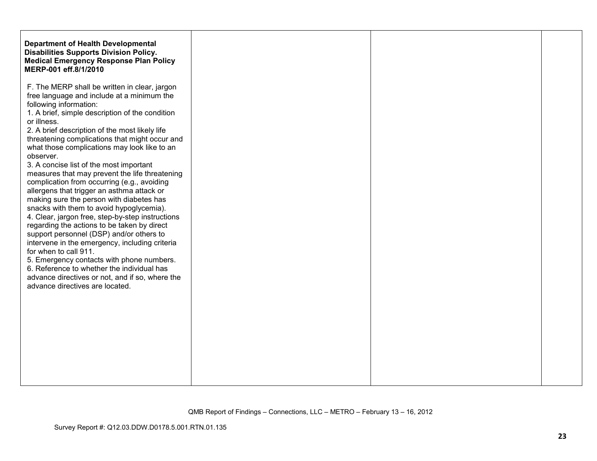| <b>Department of Health Developmental</b><br><b>Disabilities Supports Division Policy.</b><br><b>Medical Emergency Response Plan Policy</b><br>MERP-001 eff.8/1/2010                                                                                                                                                                                                                                                                                                                                                                                                                                                                                                                                                                                                                                                                                                                                                                                                                                                                                  |  |  |
|-------------------------------------------------------------------------------------------------------------------------------------------------------------------------------------------------------------------------------------------------------------------------------------------------------------------------------------------------------------------------------------------------------------------------------------------------------------------------------------------------------------------------------------------------------------------------------------------------------------------------------------------------------------------------------------------------------------------------------------------------------------------------------------------------------------------------------------------------------------------------------------------------------------------------------------------------------------------------------------------------------------------------------------------------------|--|--|
| F. The MERP shall be written in clear, jargon<br>free language and include at a minimum the<br>following information:<br>1. A brief, simple description of the condition<br>or illness.<br>2. A brief description of the most likely life<br>threatening complications that might occur and<br>what those complications may look like to an<br>observer.<br>3. A concise list of the most important<br>measures that may prevent the life threatening<br>complication from occurring (e.g., avoiding<br>allergens that trigger an asthma attack or<br>making sure the person with diabetes has<br>snacks with them to avoid hypoglycemia).<br>4. Clear, jargon free, step-by-step instructions<br>regarding the actions to be taken by direct<br>support personnel (DSP) and/or others to<br>intervene in the emergency, including criteria<br>for when to call 911.<br>5. Emergency contacts with phone numbers.<br>6. Reference to whether the individual has<br>advance directives or not, and if so, where the<br>advance directives are located. |  |  |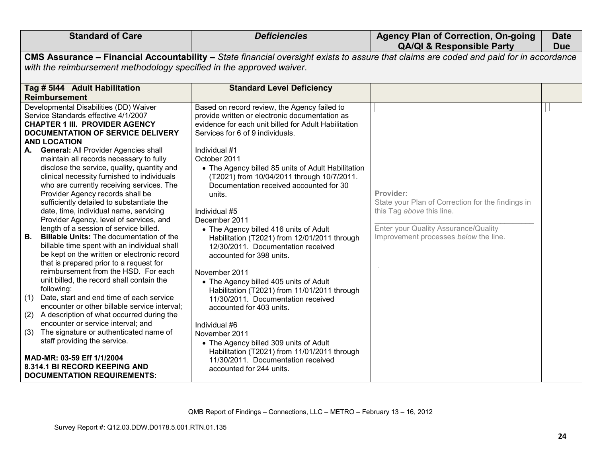| <b>Standard of Care</b>                                                                                                                                                                                                                                                                                                                                                                                                                                                       | <b>Deficiencies</b>                                                                                                                                                                                                                                                                                                                                                     | <b>Agency Plan of Correction, On-going</b><br><b>QA/QI &amp; Responsible Party</b>                                                                                           | <b>Date</b><br><b>Due</b> |
|-------------------------------------------------------------------------------------------------------------------------------------------------------------------------------------------------------------------------------------------------------------------------------------------------------------------------------------------------------------------------------------------------------------------------------------------------------------------------------|-------------------------------------------------------------------------------------------------------------------------------------------------------------------------------------------------------------------------------------------------------------------------------------------------------------------------------------------------------------------------|------------------------------------------------------------------------------------------------------------------------------------------------------------------------------|---------------------------|
|                                                                                                                                                                                                                                                                                                                                                                                                                                                                               | CMS Assurance - Financial Accountability - State financial oversight exists to assure that claims are coded and paid for in accordance                                                                                                                                                                                                                                  |                                                                                                                                                                              |                           |
| with the reimbursement methodology specified in the approved waiver.                                                                                                                                                                                                                                                                                                                                                                                                          |                                                                                                                                                                                                                                                                                                                                                                         |                                                                                                                                                                              |                           |
| Tag # 5144 Adult Habilitation                                                                                                                                                                                                                                                                                                                                                                                                                                                 | <b>Standard Level Deficiency</b>                                                                                                                                                                                                                                                                                                                                        |                                                                                                                                                                              |                           |
| <b>Reimbursement</b>                                                                                                                                                                                                                                                                                                                                                                                                                                                          |                                                                                                                                                                                                                                                                                                                                                                         |                                                                                                                                                                              |                           |
| Developmental Disabilities (DD) Waiver<br>Service Standards effective 4/1/2007<br><b>CHAPTER 1 III. PROVIDER AGENCY</b><br>DOCUMENTATION OF SERVICE DELIVERY<br><b>AND LOCATION</b><br><b>General: All Provider Agencies shall</b><br>А.<br>maintain all records necessary to fully<br>disclose the service, quality, quantity and<br>clinical necessity furnished to individuals                                                                                             | Based on record review, the Agency failed to<br>provide written or electronic documentation as<br>evidence for each unit billed for Adult Habilitation<br>Services for 6 of 9 individuals.<br>Individual #1<br>October 2011<br>• The Agency billed 85 units of Adult Habilitation                                                                                       |                                                                                                                                                                              |                           |
| who are currently receiving services. The<br>Provider Agency records shall be<br>sufficiently detailed to substantiate the<br>date, time, individual name, servicing<br>Provider Agency, level of services, and<br>length of a session of service billed.<br>В.<br><b>Billable Units: The documentation of the</b><br>billable time spent with an individual shall<br>be kept on the written or electronic record<br>that is prepared prior to a request for                  | (T2021) from 10/04/2011 through 10/7/2011.<br>Documentation received accounted for 30<br>units.<br>Individual #5<br>December 2011<br>• The Agency billed 416 units of Adult<br>Habilitation (T2021) from 12/01/2011 through<br>12/30/2011. Documentation received<br>accounted for 398 units.                                                                           | Provider:<br>State your Plan of Correction for the findings in<br>this Tag above this line.<br>Enter your Quality Assurance/Quality<br>Improvement processes below the line. |                           |
| reimbursement from the HSD. For each<br>unit billed, the record shall contain the<br>following:<br>(1) Date, start and end time of each service<br>encounter or other billable service interval;<br>(2) A description of what occurred during the<br>encounter or service interval; and<br>The signature or authenticated name of<br>(3)<br>staff providing the service.<br>MAD-MR: 03-59 Eff 1/1/2004<br>8.314.1 BI RECORD KEEPING AND<br><b>DOCUMENTATION REQUIREMENTS:</b> | November 2011<br>• The Agency billed 405 units of Adult<br>Habilitation (T2021) from 11/01/2011 through<br>11/30/2011. Documentation received<br>accounted for 403 units.<br>Individual #6<br>November 2011<br>• The Agency billed 309 units of Adult<br>Habilitation (T2021) from 11/01/2011 through<br>11/30/2011. Documentation received<br>accounted for 244 units. |                                                                                                                                                                              |                           |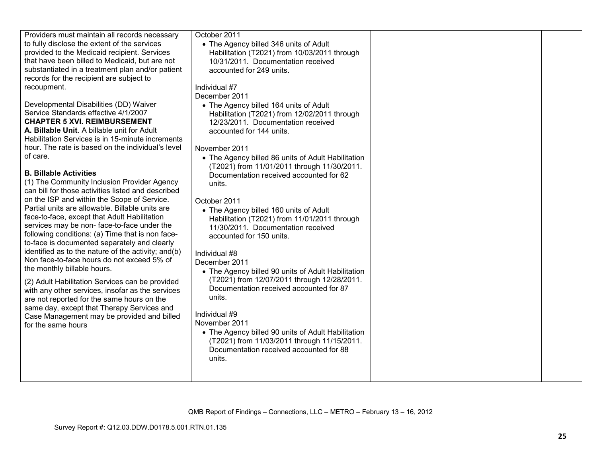| Providers must maintain all records necessary<br>to fully disclose the extent of the services<br>provided to the Medicaid recipient. Services<br>that have been billed to Medicaid, but are not<br>substantiated in a treatment plan and/or patient<br>records for the recipient are subject to<br>recoupment.<br>Developmental Disabilities (DD) Waiver<br>Service Standards effective 4/1/2007<br><b>CHAPTER 5 XVI. REIMBURSEMENT</b><br>A. Billable Unit. A billable unit for Adult<br>Habilitation Services is in 15-minute increments<br>hour. The rate is based on the individual's level<br>of care.<br><b>B. Billable Activities</b><br>(1) The Community Inclusion Provider Agency<br>can bill for those activities listed and described<br>on the ISP and within the Scope of Service.<br>Partial units are allowable. Billable units are<br>face-to-face, except that Adult Habilitation<br>services may be non-face-to-face under the<br>following conditions: (a) Time that is non face-<br>to-face is documented separately and clearly<br>identified as to the nature of the activity; and(b)<br>Non face-to-face hours do not exceed 5% of<br>the monthly billable hours.<br>(2) Adult Habilitation Services can be provided<br>with any other services, insofar as the services<br>are not reported for the same hours on the<br>same day, except that Therapy Services and<br>Case Management may be provided and billed<br>for the same hours | October 2011<br>• The Agency billed 346 units of Adult<br>Habilitation (T2021) from 10/03/2011 through<br>10/31/2011. Documentation received<br>accounted for 249 units.<br>Individual #7<br>December 2011<br>• The Agency billed 164 units of Adult<br>Habilitation (T2021) from 12/02/2011 through<br>12/23/2011. Documentation received<br>accounted for 144 units.<br>November 2011<br>• The Agency billed 86 units of Adult Habilitation<br>(T2021) from 11/01/2011 through 11/30/2011.<br>Documentation received accounted for 62<br>units.<br>October 2011<br>• The Agency billed 160 units of Adult<br>Habilitation (T2021) from 11/01/2011 through<br>11/30/2011. Documentation received<br>accounted for 150 units.<br>Individual #8<br>December 2011<br>• The Agency billed 90 units of Adult Habilitation<br>(T2021) from 12/07/2011 through 12/28/2011.<br>Documentation received accounted for 87<br>units.<br>Individual #9<br>November 2011<br>• The Agency billed 90 units of Adult Habilitation<br>(T2021) from 11/03/2011 through 11/15/2011.<br>Documentation received accounted for 88<br>units. |  |
|------------------------------------------------------------------------------------------------------------------------------------------------------------------------------------------------------------------------------------------------------------------------------------------------------------------------------------------------------------------------------------------------------------------------------------------------------------------------------------------------------------------------------------------------------------------------------------------------------------------------------------------------------------------------------------------------------------------------------------------------------------------------------------------------------------------------------------------------------------------------------------------------------------------------------------------------------------------------------------------------------------------------------------------------------------------------------------------------------------------------------------------------------------------------------------------------------------------------------------------------------------------------------------------------------------------------------------------------------------------------------------------------------------------------------------------------------------------|-----------------------------------------------------------------------------------------------------------------------------------------------------------------------------------------------------------------------------------------------------------------------------------------------------------------------------------------------------------------------------------------------------------------------------------------------------------------------------------------------------------------------------------------------------------------------------------------------------------------------------------------------------------------------------------------------------------------------------------------------------------------------------------------------------------------------------------------------------------------------------------------------------------------------------------------------------------------------------------------------------------------------------------------------------------------------------------------------------------------------|--|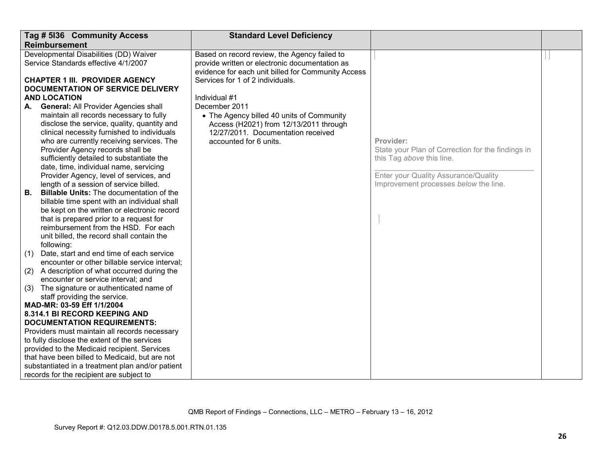|     | Tag # 5136 Community Access                      | <b>Standard Level Deficiency</b>                   |                                                   |  |
|-----|--------------------------------------------------|----------------------------------------------------|---------------------------------------------------|--|
|     | <b>Reimbursement</b>                             |                                                    |                                                   |  |
|     | Developmental Disabilities (DD) Waiver           | Based on record review, the Agency failed to       |                                                   |  |
|     | Service Standards effective 4/1/2007             | provide written or electronic documentation as     |                                                   |  |
|     |                                                  | evidence for each unit billed for Community Access |                                                   |  |
|     | <b>CHAPTER 1 III. PROVIDER AGENCY</b>            | Services for 1 of 2 individuals.                   |                                                   |  |
|     | <b>DOCUMENTATION OF SERVICE DELIVERY</b>         |                                                    |                                                   |  |
|     | <b>AND LOCATION</b>                              | Individual #1                                      |                                                   |  |
| А.  | <b>General: All Provider Agencies shall</b>      | December 2011                                      |                                                   |  |
|     | maintain all records necessary to fully          | • The Agency billed 40 units of Community          |                                                   |  |
|     | disclose the service, quality, quantity and      | Access (H2021) from 12/13/2011 through             |                                                   |  |
|     | clinical necessity furnished to individuals      | 12/27/2011. Documentation received                 |                                                   |  |
|     | who are currently receiving services. The        | accounted for 6 units.                             | Provider:                                         |  |
|     | Provider Agency records shall be                 |                                                    | State your Plan of Correction for the findings in |  |
|     | sufficiently detailed to substantiate the        |                                                    | this Tag above this line.                         |  |
|     | date, time, individual name, servicing           |                                                    |                                                   |  |
|     | Provider Agency, level of services, and          |                                                    | Enter your Quality Assurance/Quality              |  |
|     | length of a session of service billed.           |                                                    | Improvement processes below the line.             |  |
| В.  | <b>Billable Units:</b> The documentation of the  |                                                    |                                                   |  |
|     | billable time spent with an individual shall     |                                                    |                                                   |  |
|     | be kept on the written or electronic record      |                                                    |                                                   |  |
|     | that is prepared prior to a request for          |                                                    |                                                   |  |
|     | reimbursement from the HSD. For each             |                                                    |                                                   |  |
|     | unit billed, the record shall contain the        |                                                    |                                                   |  |
|     | following:                                       |                                                    |                                                   |  |
| (1) | Date, start and end time of each service         |                                                    |                                                   |  |
|     | encounter or other billable service interval;    |                                                    |                                                   |  |
| (2) | A description of what occurred during the        |                                                    |                                                   |  |
|     | encounter or service interval; and               |                                                    |                                                   |  |
| (3) | The signature or authenticated name of           |                                                    |                                                   |  |
|     | staff providing the service.                     |                                                    |                                                   |  |
|     | MAD-MR: 03-59 Eff 1/1/2004                       |                                                    |                                                   |  |
|     | 8.314.1 BI RECORD KEEPING AND                    |                                                    |                                                   |  |
|     | <b>DOCUMENTATION REQUIREMENTS:</b>               |                                                    |                                                   |  |
|     | Providers must maintain all records necessary    |                                                    |                                                   |  |
|     | to fully disclose the extent of the services     |                                                    |                                                   |  |
|     | provided to the Medicaid recipient. Services     |                                                    |                                                   |  |
|     | that have been billed to Medicaid, but are not   |                                                    |                                                   |  |
|     | substantiated in a treatment plan and/or patient |                                                    |                                                   |  |
|     | records for the recipient are subject to         |                                                    |                                                   |  |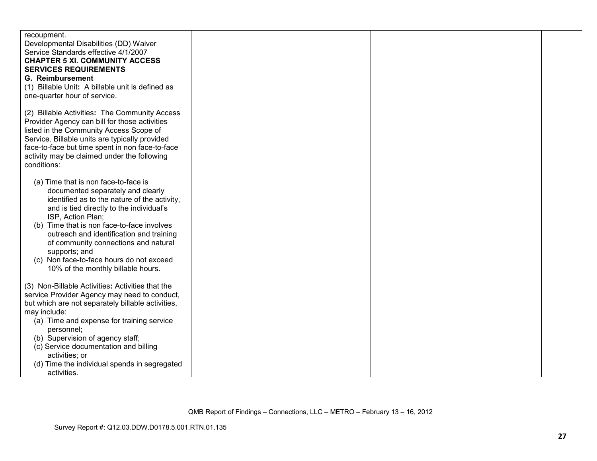| recoupment.<br>Developmental Disabilities (DD) Waiver                                     |  |  |
|-------------------------------------------------------------------------------------------|--|--|
| Service Standards effective 4/1/2007                                                      |  |  |
| <b>CHAPTER 5 XI. COMMUNITY ACCESS</b>                                                     |  |  |
| <b>SERVICES REQUIREMENTS</b>                                                              |  |  |
| G. Reimbursement<br>(1) Billable Unit: A billable unit is defined as                      |  |  |
| one-quarter hour of service.                                                              |  |  |
|                                                                                           |  |  |
| (2) Billable Activities: The Community Access                                             |  |  |
| Provider Agency can bill for those activities                                             |  |  |
| listed in the Community Access Scope of<br>Service. Billable units are typically provided |  |  |
| face-to-face but time spent in non face-to-face                                           |  |  |
| activity may be claimed under the following                                               |  |  |
| conditions:                                                                               |  |  |
| (a) Time that is non face-to-face is                                                      |  |  |
| documented separately and clearly                                                         |  |  |
| identified as to the nature of the activity,                                              |  |  |
| and is tied directly to the individual's                                                  |  |  |
| ISP, Action Plan;                                                                         |  |  |
| Time that is non face-to-face involves<br>(b)<br>outreach and identification and training |  |  |
| of community connections and natural                                                      |  |  |
| supports; and                                                                             |  |  |
| (c) Non face-to-face hours do not exceed                                                  |  |  |
| 10% of the monthly billable hours.                                                        |  |  |
| (3) Non-Billable Activities: Activities that the                                          |  |  |
| service Provider Agency may need to conduct,                                              |  |  |
| but which are not separately billable activities,                                         |  |  |
| may include:                                                                              |  |  |
| (a) Time and expense for training service<br>personnel;                                   |  |  |
| (b) Supervision of agency staff;                                                          |  |  |
| (c) Service documentation and billing                                                     |  |  |
| activities; or                                                                            |  |  |
| (d) Time the individual spends in segregated                                              |  |  |
| activities.                                                                               |  |  |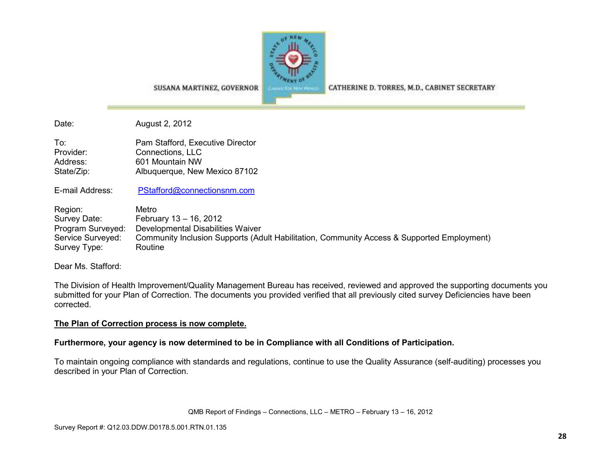

CATHERINE D. TORRES, M.D., CABINET SECRETARY

SUSANA MARTINEZ, GOVERNOR

Date: August 2, 2012

| To:        | Pam Stafford, Executive Director |
|------------|----------------------------------|
| Provider:  | Connections, LLC                 |
| Address:   | 601 Mountain NW                  |
| State/Zip: | Albuquerque, New Mexico 87102    |

E-mail Address: PStafford@connectionsnm.com

Region: Metro<br>
Survey Date: Februa Survey Date: February 13 – 16, 2012 Program Surveyed: Developmental Disabilities Waiver Service Surveyed: Community Inclusion Supports (Adult Habilitation, Community Access & Supported Employment) Survey Type: Routine

Dear Ms. Stafford:

The Division of Health Improvement/Quality Management Bureau has received, reviewed and approved the supporting documents you submitted for your Plan of Correction. The documents you provided verified that all previously cited survey Deficiencies have been corrected.

## **The Plan of Correction process is now complete.**

## **Furthermore, your agency is now determined to be in Compliance with all Conditions of Participation.**

To maintain ongoing compliance with standards and regulations, continue to use the Quality Assurance (self-auditing) processes you described in your Plan of Correction.